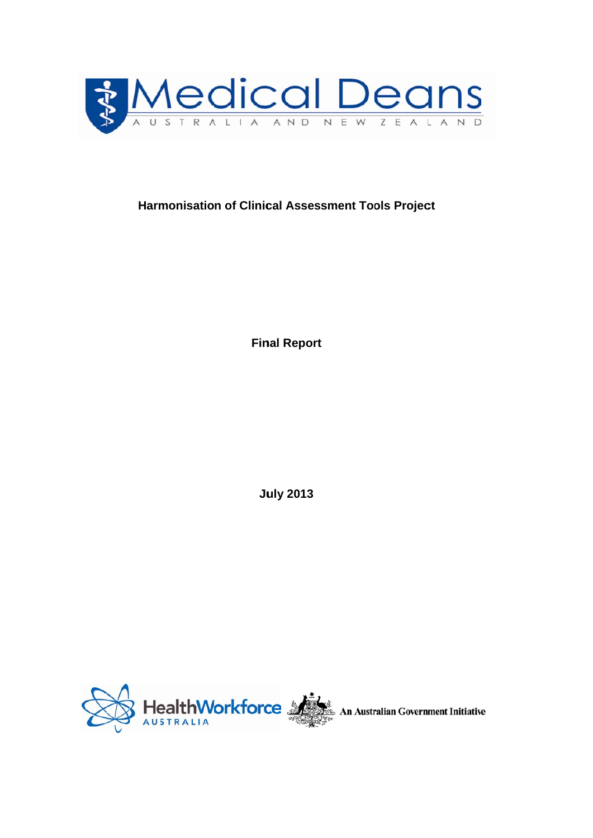

# **Harmonisation of Clinic al Assess sment Too the Symbol Sect** becomes<br> **t**<br> **t**

**Fin nal Report**

**Ju uly 2013** 

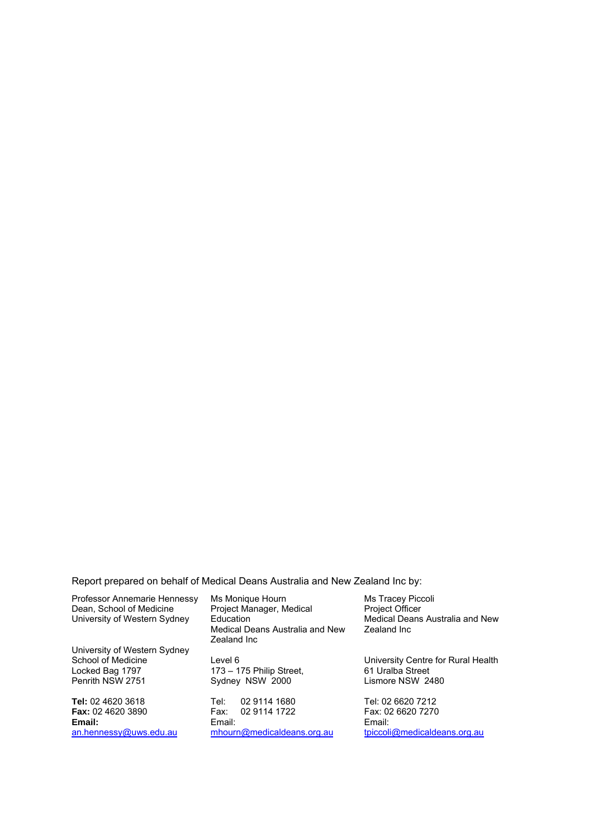Report prepared on behalf of Medical Deans Australia and New Zealand Inc by:

Professor Annemarie Hennessy Dean, School of Medicine University of Western Sydney University of Western Sydney School of Medicine Locked Bag 1797 Penrith NSW 2751 **Tel:** 02 4620 3618

**Fax:** 02 4620 3890 **Email:**  an.hennessy@uws.edu.au

Ms Monique Hourn Project Manager, Medical **Education** Medical Deans Australia and New Zealand Inc

Level 6 173 – 175 Philip Street, Sydney NSW 2000

Tel: 02 9114 1680 Fax: 02 9114 1722 Email: mhourn@medicaldeans.org.au Ms Tracey Piccoli Project Officer Medical Deans Australia and New Zealand Inc

University Centre for Rural Health 61 Uralba Street Lismore NSW 2480

Tel: 02 6620 7212 Fax: 02 6620 7270 Email: tpiccoli@medicaldeans.org.au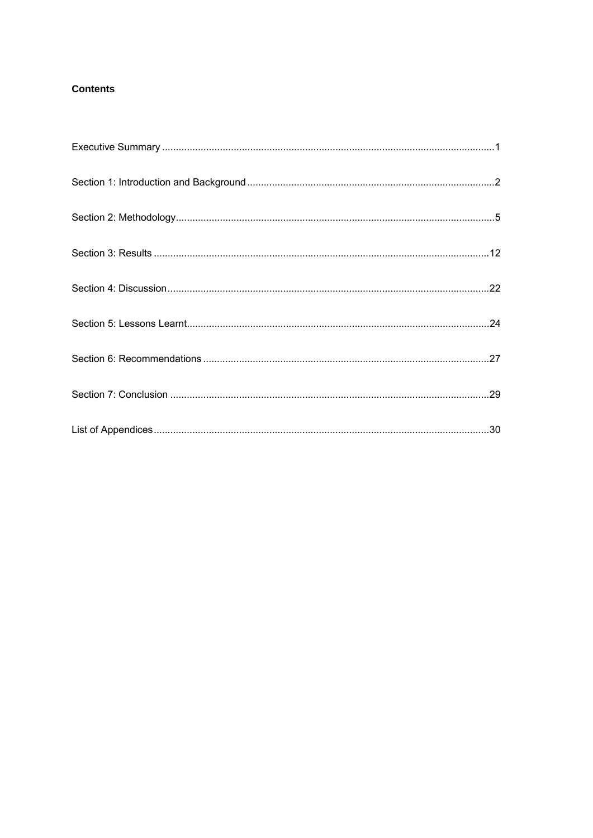# **Contents**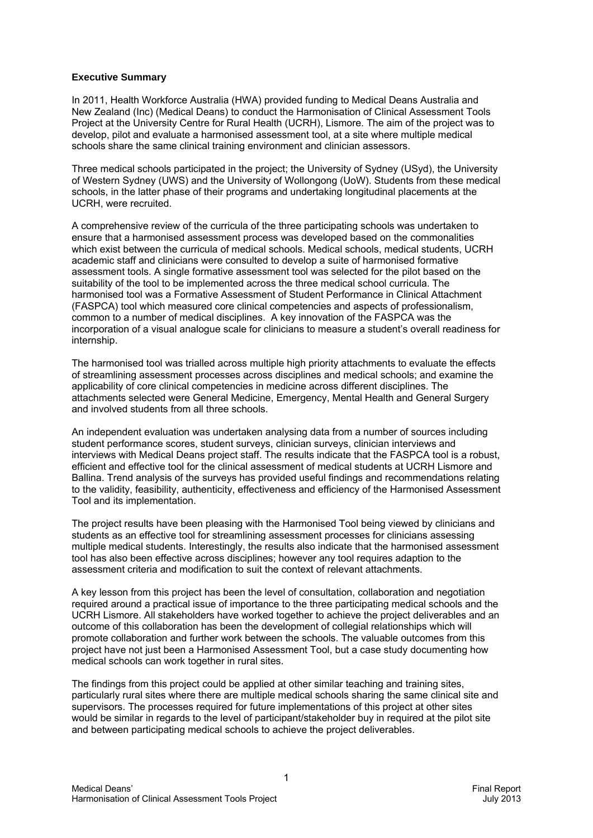#### **Executive Summary**

In 2011, Health Workforce Australia (HWA) provided funding to Medical Deans Australia and New Zealand (Inc) (Medical Deans) to conduct the Harmonisation of Clinical Assessment Tools Project at the University Centre for Rural Health (UCRH), Lismore. The aim of the project was to develop, pilot and evaluate a harmonised assessment tool, at a site where multiple medical schools share the same clinical training environment and clinician assessors.

Three medical schools participated in the project; the University of Sydney (USyd), the University of Western Sydney (UWS) and the University of Wollongong (UoW). Students from these medical schools, in the latter phase of their programs and undertaking longitudinal placements at the UCRH, were recruited.

A comprehensive review of the curricula of the three participating schools was undertaken to ensure that a harmonised assessment process was developed based on the commonalities which exist between the curricula of medical schools. Medical schools, medical students, UCRH academic staff and clinicians were consulted to develop a suite of harmonised formative assessment tools. A single formative assessment tool was selected for the pilot based on the suitability of the tool to be implemented across the three medical school curricula. The harmonised tool was a Formative Assessment of Student Performance in Clinical Attachment (FASPCA) tool which measured core clinical competencies and aspects of professionalism, common to a number of medical disciplines. A key innovation of the FASPCA was the incorporation of a visual analogue scale for clinicians to measure a student's overall readiness for internship.

The harmonised tool was trialled across multiple high priority attachments to evaluate the effects of streamlining assessment processes across disciplines and medical schools; and examine the applicability of core clinical competencies in medicine across different disciplines. The attachments selected were General Medicine, Emergency, Mental Health and General Surgery and involved students from all three schools.

An independent evaluation was undertaken analysing data from a number of sources including student performance scores, student surveys, clinician surveys, clinician interviews and interviews with Medical Deans project staff. The results indicate that the FASPCA tool is a robust, efficient and effective tool for the clinical assessment of medical students at UCRH Lismore and Ballina. Trend analysis of the surveys has provided useful findings and recommendations relating to the validity, feasibility, authenticity, effectiveness and efficiency of the Harmonised Assessment Tool and its implementation.

The project results have been pleasing with the Harmonised Tool being viewed by clinicians and students as an effective tool for streamlining assessment processes for clinicians assessing multiple medical students. Interestingly, the results also indicate that the harmonised assessment tool has also been effective across disciplines; however any tool requires adaption to the assessment criteria and modification to suit the context of relevant attachments.

A key lesson from this project has been the level of consultation, collaboration and negotiation required around a practical issue of importance to the three participating medical schools and the UCRH Lismore. All stakeholders have worked together to achieve the project deliverables and an outcome of this collaboration has been the development of collegial relationships which will promote collaboration and further work between the schools. The valuable outcomes from this project have not just been a Harmonised Assessment Tool, but a case study documenting how medical schools can work together in rural sites.

The findings from this project could be applied at other similar teaching and training sites, particularly rural sites where there are multiple medical schools sharing the same clinical site and supervisors. The processes required for future implementations of this project at other sites would be similar in regards to the level of participant/stakeholder buy in required at the pilot site and between participating medical schools to achieve the project deliverables.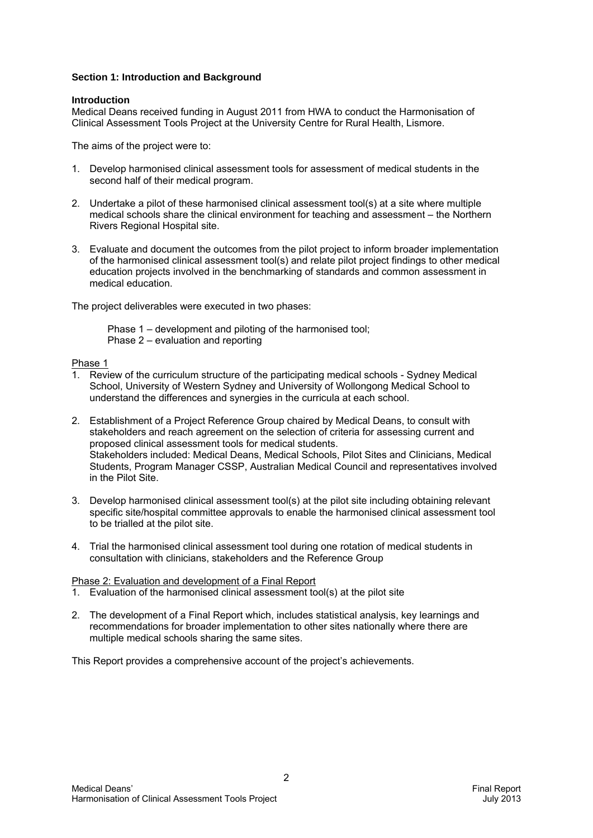#### **Section 1: Introduction and Background**

#### **Introduction**

Medical Deans received funding in August 2011 from HWA to conduct the Harmonisation of Clinical Assessment Tools Project at the University Centre for Rural Health, Lismore.

The aims of the project were to:

- 1. Develop harmonised clinical assessment tools for assessment of medical students in the second half of their medical program.
- 2. Undertake a pilot of these harmonised clinical assessment tool(s) at a site where multiple medical schools share the clinical environment for teaching and assessment – the Northern Rivers Regional Hospital site.
- 3. Evaluate and document the outcomes from the pilot project to inform broader implementation of the harmonised clinical assessment tool(s) and relate pilot project findings to other medical education projects involved in the benchmarking of standards and common assessment in medical education.

The project deliverables were executed in two phases:

Phase 1 – development and piloting of the harmonised tool; Phase 2 – evaluation and reporting

#### Phase 1

- 1. Review of the curriculum structure of the participating medical schools Sydney Medical School, University of Western Sydney and University of Wollongong Medical School to understand the differences and synergies in the curricula at each school.
- 2. Establishment of a Project Reference Group chaired by Medical Deans, to consult with stakeholders and reach agreement on the selection of criteria for assessing current and proposed clinical assessment tools for medical students. Stakeholders included: Medical Deans, Medical Schools, Pilot Sites and Clinicians, Medical Students, Program Manager CSSP, Australian Medical Council and representatives involved in the Pilot Site.
- 3. Develop harmonised clinical assessment tool(s) at the pilot site including obtaining relevant specific site/hospital committee approvals to enable the harmonised clinical assessment tool to be trialled at the pilot site.
- 4. Trial the harmonised clinical assessment tool during one rotation of medical students in consultation with clinicians, stakeholders and the Reference Group

#### Phase 2: Evaluation and development of a Final Report

- 1. Evaluation of the harmonised clinical assessment tool(s) at the pilot site
- 2. The development of a Final Report which, includes statistical analysis, key learnings and recommendations for broader implementation to other sites nationally where there are multiple medical schools sharing the same sites.

This Report provides a comprehensive account of the project's achievements.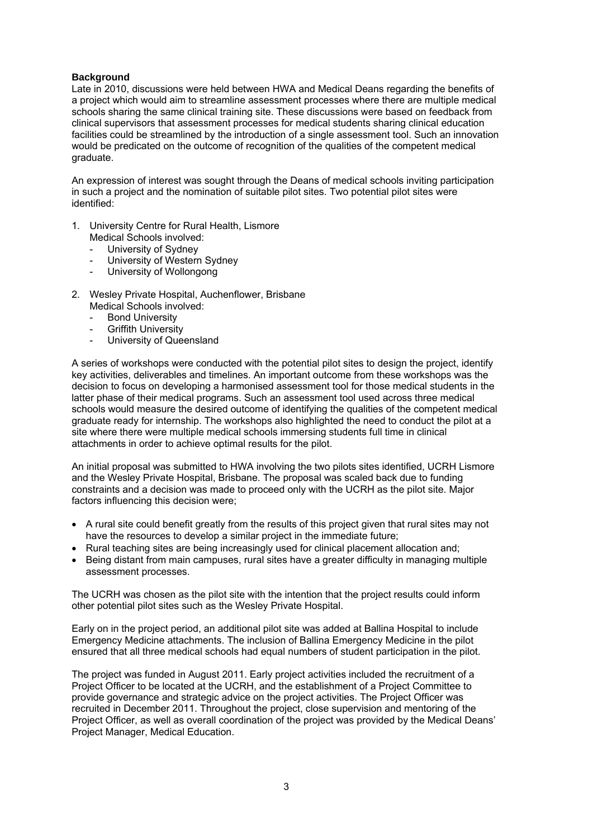#### **Background**

Late in 2010, discussions were held between HWA and Medical Deans regarding the benefits of a project which would aim to streamline assessment processes where there are multiple medical schools sharing the same clinical training site. These discussions were based on feedback from clinical supervisors that assessment processes for medical students sharing clinical education facilities could be streamlined by the introduction of a single assessment tool. Such an innovation would be predicated on the outcome of recognition of the qualities of the competent medical graduate.

An expression of interest was sought through the Deans of medical schools inviting participation in such a project and the nomination of suitable pilot sites. Two potential pilot sites were identified:

- 1. University Centre for Rural Health, Lismore Medical Schools involved:
	- University of Sydney
	- University of Western Sydney
	- University of Wollongong
- 2. Wesley Private Hospital, Auchenflower, Brisbane Medical Schools involved:
	-
	- **Bond University**
	- **Griffith University**
	- University of Queensland

A series of workshops were conducted with the potential pilot sites to design the project, identify key activities, deliverables and timelines. An important outcome from these workshops was the decision to focus on developing a harmonised assessment tool for those medical students in the latter phase of their medical programs. Such an assessment tool used across three medical schools would measure the desired outcome of identifying the qualities of the competent medical graduate ready for internship. The workshops also highlighted the need to conduct the pilot at a site where there were multiple medical schools immersing students full time in clinical attachments in order to achieve optimal results for the pilot.

An initial proposal was submitted to HWA involving the two pilots sites identified, UCRH Lismore and the Wesley Private Hospital, Brisbane. The proposal was scaled back due to funding constraints and a decision was made to proceed only with the UCRH as the pilot site. Major factors influencing this decision were;

- A rural site could benefit greatly from the results of this project given that rural sites may not have the resources to develop a similar project in the immediate future;
- Rural teaching sites are being increasingly used for clinical placement allocation and;
- Being distant from main campuses, rural sites have a greater difficulty in managing multiple assessment processes.

The UCRH was chosen as the pilot site with the intention that the project results could inform other potential pilot sites such as the Wesley Private Hospital.

Early on in the project period, an additional pilot site was added at Ballina Hospital to include Emergency Medicine attachments. The inclusion of Ballina Emergency Medicine in the pilot ensured that all three medical schools had equal numbers of student participation in the pilot.

The project was funded in August 2011. Early project activities included the recruitment of a Project Officer to be located at the UCRH, and the establishment of a Project Committee to provide governance and strategic advice on the project activities. The Project Officer was recruited in December 2011. Throughout the project, close supervision and mentoring of the Project Officer, as well as overall coordination of the project was provided by the Medical Deans' Project Manager, Medical Education.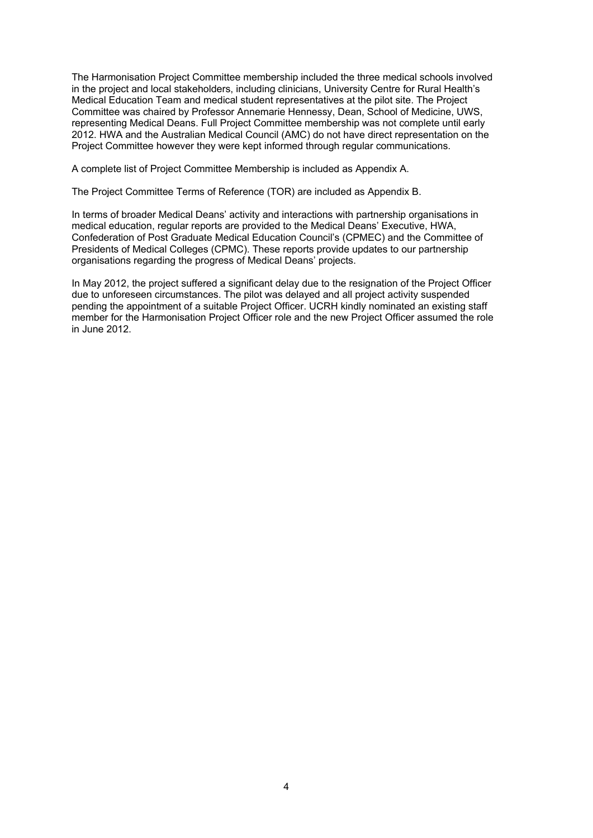The Harmonisation Project Committee membership included the three medical schools involved in the project and local stakeholders, including clinicians, University Centre for Rural Health's Medical Education Team and medical student representatives at the pilot site. The Project Committee was chaired by Professor Annemarie Hennessy, Dean, School of Medicine, UWS, representing Medical Deans. Full Project Committee membership was not complete until early 2012. HWA and the Australian Medical Council (AMC) do not have direct representation on the Project Committee however they were kept informed through regular communications.

A complete list of Project Committee Membership is included as Appendix A.

The Project Committee Terms of Reference (TOR) are included as Appendix B.

In terms of broader Medical Deans' activity and interactions with partnership organisations in medical education, regular reports are provided to the Medical Deans' Executive, HWA, Confederation of Post Graduate Medical Education Council's (CPMEC) and the Committee of Presidents of Medical Colleges (CPMC). These reports provide updates to our partnership organisations regarding the progress of Medical Deans' projects.

In May 2012, the project suffered a significant delay due to the resignation of the Project Officer due to unforeseen circumstances. The pilot was delayed and all project activity suspended pending the appointment of a suitable Project Officer. UCRH kindly nominated an existing staff member for the Harmonisation Project Officer role and the new Project Officer assumed the role in June 2012.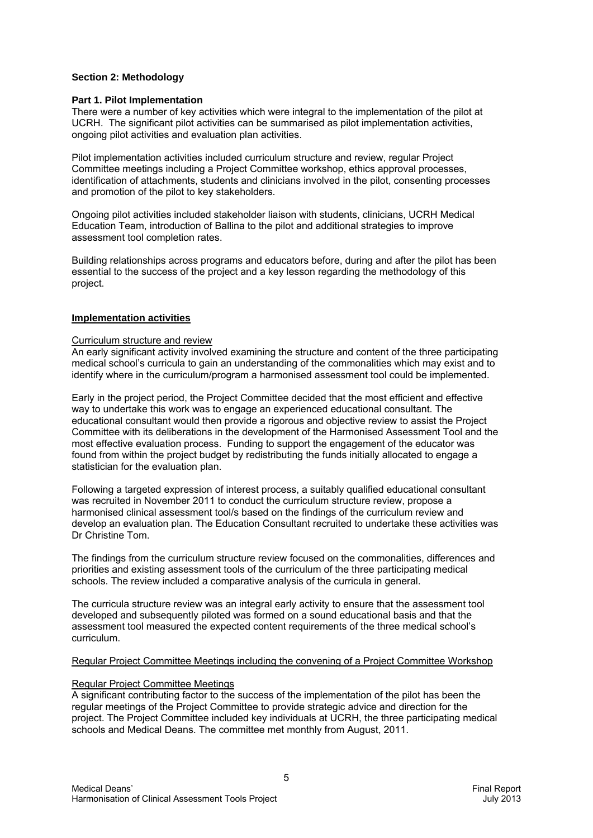#### **Section 2: Methodology**

#### **Part 1. Pilot Implementation**

There were a number of key activities which were integral to the implementation of the pilot at UCRH. The significant pilot activities can be summarised as pilot implementation activities, ongoing pilot activities and evaluation plan activities.

Pilot implementation activities included curriculum structure and review, regular Project Committee meetings including a Project Committee workshop, ethics approval processes, identification of attachments, students and clinicians involved in the pilot, consenting processes and promotion of the pilot to key stakeholders.

Ongoing pilot activities included stakeholder liaison with students, clinicians, UCRH Medical Education Team, introduction of Ballina to the pilot and additional strategies to improve assessment tool completion rates.

Building relationships across programs and educators before, during and after the pilot has been essential to the success of the project and a key lesson regarding the methodology of this project.

#### **Implementation activities**

#### Curriculum structure and review

An early significant activity involved examining the structure and content of the three participating medical school's curricula to gain an understanding of the commonalities which may exist and to identify where in the curriculum/program a harmonised assessment tool could be implemented.

Early in the project period, the Project Committee decided that the most efficient and effective way to undertake this work was to engage an experienced educational consultant. The educational consultant would then provide a rigorous and objective review to assist the Project Committee with its deliberations in the development of the Harmonised Assessment Tool and the most effective evaluation process. Funding to support the engagement of the educator was found from within the project budget by redistributing the funds initially allocated to engage a statistician for the evaluation plan.

Following a targeted expression of interest process, a suitably qualified educational consultant was recruited in November 2011 to conduct the curriculum structure review, propose a harmonised clinical assessment tool/s based on the findings of the curriculum review and develop an evaluation plan. The Education Consultant recruited to undertake these activities was Dr Christine Tom.

The findings from the curriculum structure review focused on the commonalities, differences and priorities and existing assessment tools of the curriculum of the three participating medical schools. The review included a comparative analysis of the curricula in general.

The curricula structure review was an integral early activity to ensure that the assessment tool developed and subsequently piloted was formed on a sound educational basis and that the assessment tool measured the expected content requirements of the three medical school's curriculum.

#### Regular Project Committee Meetings including the convening of a Project Committee Workshop

#### Regular Project Committee Meetings

A significant contributing factor to the success of the implementation of the pilot has been the regular meetings of the Project Committee to provide strategic advice and direction for the project. The Project Committee included key individuals at UCRH, the three participating medical schools and Medical Deans. The committee met monthly from August, 2011.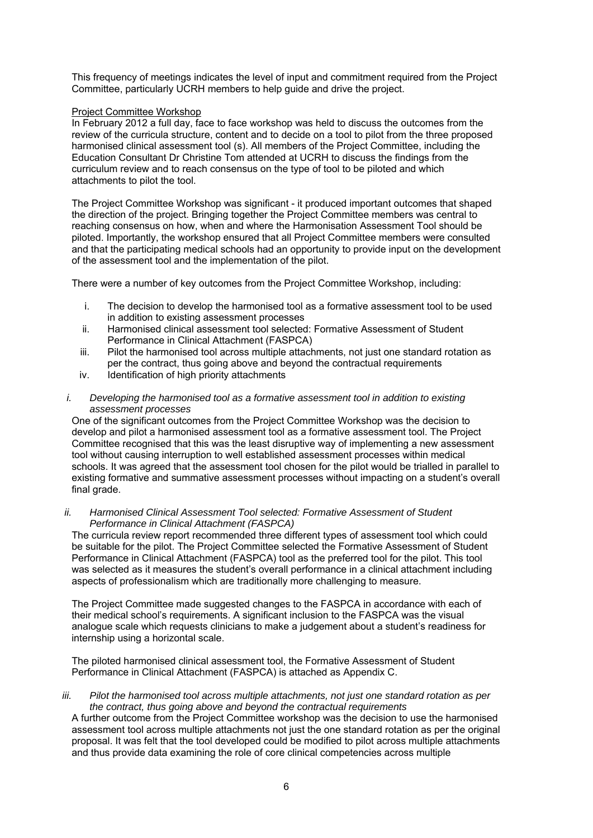This frequency of meetings indicates the level of input and commitment required from the Project Committee, particularly UCRH members to help guide and drive the project.

#### Project Committee Workshop

In February 2012 a full day, face to face workshop was held to discuss the outcomes from the review of the curricula structure, content and to decide on a tool to pilot from the three proposed harmonised clinical assessment tool (s). All members of the Project Committee, including the Education Consultant Dr Christine Tom attended at UCRH to discuss the findings from the curriculum review and to reach consensus on the type of tool to be piloted and which attachments to pilot the tool.

The Project Committee Workshop was significant - it produced important outcomes that shaped the direction of the project. Bringing together the Project Committee members was central to reaching consensus on how, when and where the Harmonisation Assessment Tool should be piloted. Importantly, the workshop ensured that all Project Committee members were consulted and that the participating medical schools had an opportunity to provide input on the development of the assessment tool and the implementation of the pilot.

There were a number of key outcomes from the Project Committee Workshop, including:

- i. The decision to develop the harmonised tool as a formative assessment tool to be used in addition to existing assessment processes
- ii. Harmonised clinical assessment tool selected: Formative Assessment of Student Performance in Clinical Attachment (FASPCA)
- iii. Pilot the harmonised tool across multiple attachments, not just one standard rotation as per the contract, thus going above and beyond the contractual requirements
- iv. Identification of high priority attachments
- *i. Developing the harmonised tool as a formative assessment tool in addition to existing assessment processes*

One of the significant outcomes from the Project Committee Workshop was the decision to develop and pilot a harmonised assessment tool as a formative assessment tool. The Project Committee recognised that this was the least disruptive way of implementing a new assessment tool without causing interruption to well established assessment processes within medical schools. It was agreed that the assessment tool chosen for the pilot would be trialled in parallel to existing formative and summative assessment processes without impacting on a student's overall final grade.

*ii. Harmonised Clinical Assessment Tool selected: Formative Assessment of Student Performance in Clinical Attachment (FASPCA)* 

The curricula review report recommended three different types of assessment tool which could be suitable for the pilot. The Project Committee selected the Formative Assessment of Student Performance in Clinical Attachment (FASPCA) tool as the preferred tool for the pilot. This tool was selected as it measures the student's overall performance in a clinical attachment including aspects of professionalism which are traditionally more challenging to measure.

The Project Committee made suggested changes to the FASPCA in accordance with each of their medical school's requirements. A significant inclusion to the FASPCA was the visual analogue scale which requests clinicians to make a judgement about a student's readiness for internship using a horizontal scale.

The piloted harmonised clinical assessment tool, the Formative Assessment of Student Performance in Clinical Attachment (FASPCA) is attached as Appendix C.

#### *iii. Pilot the harmonised tool across multiple attachments, not just one standard rotation as per the contract, thus going above and beyond the contractual requirements*

A further outcome from the Project Committee workshop was the decision to use the harmonised assessment tool across multiple attachments not just the one standard rotation as per the original proposal. It was felt that the tool developed could be modified to pilot across multiple attachments and thus provide data examining the role of core clinical competencies across multiple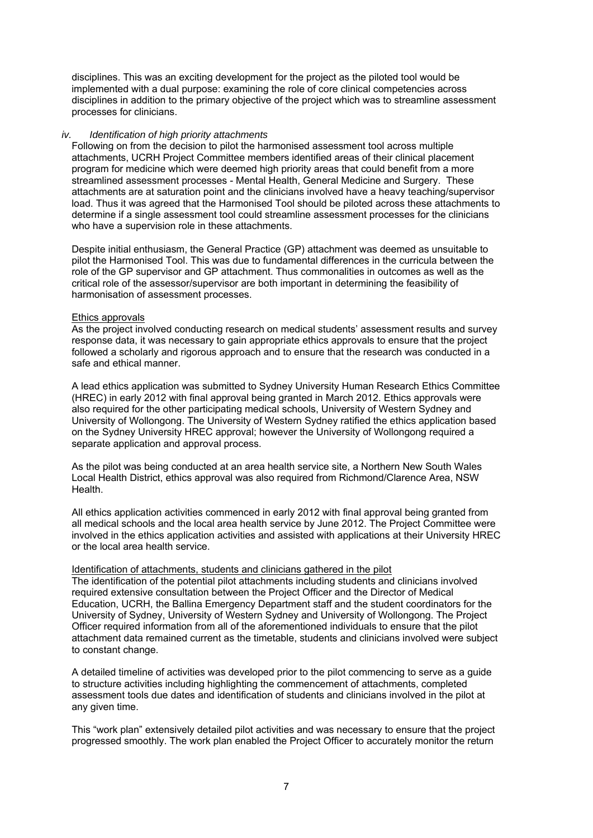disciplines. This was an exciting development for the project as the piloted tool would be implemented with a dual purpose: examining the role of core clinical competencies across disciplines in addition to the primary objective of the project which was to streamline assessment processes for clinicians.

#### *iv. Identification of high priority attachments*

Following on from the decision to pilot the harmonised assessment tool across multiple attachments, UCRH Project Committee members identified areas of their clinical placement program for medicine which were deemed high priority areas that could benefit from a more streamlined assessment processes - Mental Health, General Medicine and Surgery. These attachments are at saturation point and the clinicians involved have a heavy teaching/supervisor load. Thus it was agreed that the Harmonised Tool should be piloted across these attachments to determine if a single assessment tool could streamline assessment processes for the clinicians who have a supervision role in these attachments.

Despite initial enthusiasm, the General Practice (GP) attachment was deemed as unsuitable to pilot the Harmonised Tool. This was due to fundamental differences in the curricula between the role of the GP supervisor and GP attachment. Thus commonalities in outcomes as well as the critical role of the assessor/supervisor are both important in determining the feasibility of harmonisation of assessment processes.

#### Ethics approvals

As the project involved conducting research on medical students' assessment results and survey response data, it was necessary to gain appropriate ethics approvals to ensure that the project followed a scholarly and rigorous approach and to ensure that the research was conducted in a safe and ethical manner.

A lead ethics application was submitted to Sydney University Human Research Ethics Committee (HREC) in early 2012 with final approval being granted in March 2012. Ethics approvals were also required for the other participating medical schools, University of Western Sydney and University of Wollongong. The University of Western Sydney ratified the ethics application based on the Sydney University HREC approval; however the University of Wollongong required a separate application and approval process.

As the pilot was being conducted at an area health service site, a Northern New South Wales Local Health District, ethics approval was also required from Richmond/Clarence Area, NSW Health.

All ethics application activities commenced in early 2012 with final approval being granted from all medical schools and the local area health service by June 2012. The Project Committee were involved in the ethics application activities and assisted with applications at their University HREC or the local area health service.

#### Identification of attachments, students and clinicians gathered in the pilot

The identification of the potential pilot attachments including students and clinicians involved required extensive consultation between the Project Officer and the Director of Medical Education, UCRH, the Ballina Emergency Department staff and the student coordinators for the University of Sydney, University of Western Sydney and University of Wollongong. The Project Officer required information from all of the aforementioned individuals to ensure that the pilot attachment data remained current as the timetable, students and clinicians involved were subject to constant change.

A detailed timeline of activities was developed prior to the pilot commencing to serve as a guide to structure activities including highlighting the commencement of attachments, completed assessment tools due dates and identification of students and clinicians involved in the pilot at any given time.

This "work plan" extensively detailed pilot activities and was necessary to ensure that the project progressed smoothly. The work plan enabled the Project Officer to accurately monitor the return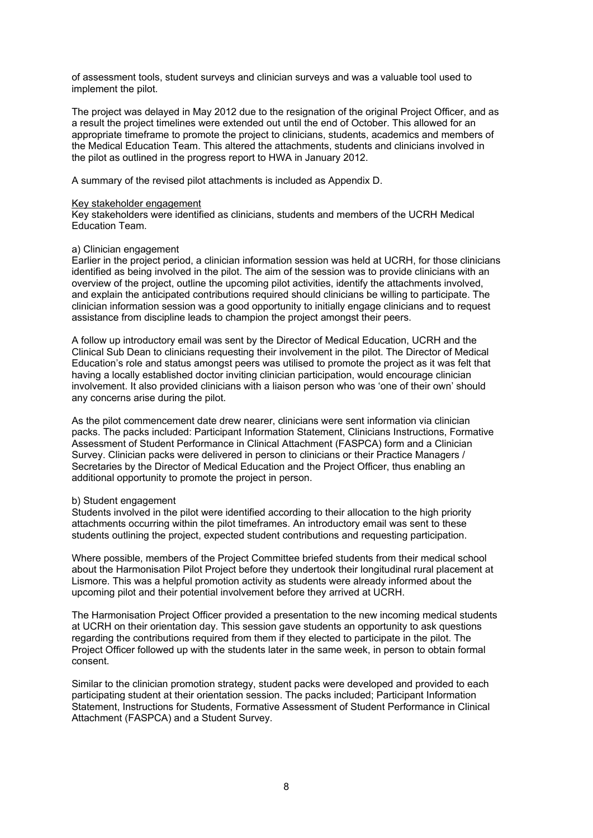of assessment tools, student surveys and clinician surveys and was a valuable tool used to implement the pilot.

The project was delayed in May 2012 due to the resignation of the original Project Officer, and as a result the project timelines were extended out until the end of October. This allowed for an appropriate timeframe to promote the project to clinicians, students, academics and members of the Medical Education Team. This altered the attachments, students and clinicians involved in the pilot as outlined in the progress report to HWA in January 2012.

A summary of the revised pilot attachments is included as Appendix D.

#### Key stakeholder engagement

Key stakeholders were identified as clinicians, students and members of the UCRH Medical Education Team.

#### a) Clinician engagement

Earlier in the project period, a clinician information session was held at UCRH, for those clinicians identified as being involved in the pilot. The aim of the session was to provide clinicians with an overview of the project, outline the upcoming pilot activities, identify the attachments involved, and explain the anticipated contributions required should clinicians be willing to participate. The clinician information session was a good opportunity to initially engage clinicians and to request assistance from discipline leads to champion the project amongst their peers.

A follow up introductory email was sent by the Director of Medical Education, UCRH and the Clinical Sub Dean to clinicians requesting their involvement in the pilot. The Director of Medical Education's role and status amongst peers was utilised to promote the project as it was felt that having a locally established doctor inviting clinician participation, would encourage clinician involvement. It also provided clinicians with a liaison person who was 'one of their own' should any concerns arise during the pilot.

As the pilot commencement date drew nearer, clinicians were sent information via clinician packs. The packs included: Participant Information Statement, Clinicians Instructions, Formative Assessment of Student Performance in Clinical Attachment (FASPCA) form and a Clinician Survey. Clinician packs were delivered in person to clinicians or their Practice Managers / Secretaries by the Director of Medical Education and the Project Officer, thus enabling an additional opportunity to promote the project in person.

#### b) Student engagement

Students involved in the pilot were identified according to their allocation to the high priority attachments occurring within the pilot timeframes. An introductory email was sent to these students outlining the project, expected student contributions and requesting participation.

Where possible, members of the Project Committee briefed students from their medical school about the Harmonisation Pilot Project before they undertook their longitudinal rural placement at Lismore. This was a helpful promotion activity as students were already informed about the upcoming pilot and their potential involvement before they arrived at UCRH.

The Harmonisation Project Officer provided a presentation to the new incoming medical students at UCRH on their orientation day. This session gave students an opportunity to ask questions regarding the contributions required from them if they elected to participate in the pilot. The Project Officer followed up with the students later in the same week, in person to obtain formal consent.

Similar to the clinician promotion strategy, student packs were developed and provided to each participating student at their orientation session. The packs included; Participant Information Statement, Instructions for Students, Formative Assessment of Student Performance in Clinical Attachment (FASPCA) and a Student Survey.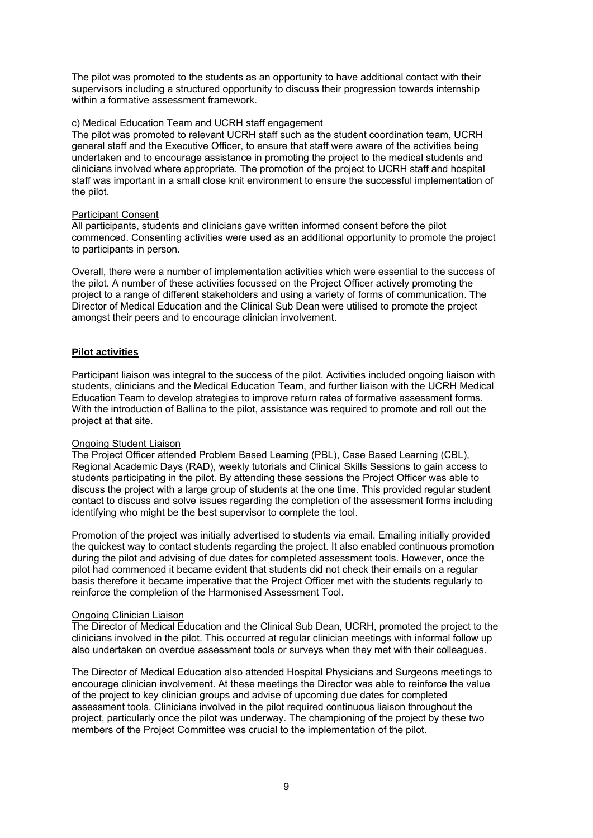The pilot was promoted to the students as an opportunity to have additional contact with their supervisors including a structured opportunity to discuss their progression towards internship within a formative assessment framework.

#### c) Medical Education Team and UCRH staff engagement

The pilot was promoted to relevant UCRH staff such as the student coordination team, UCRH general staff and the Executive Officer, to ensure that staff were aware of the activities being undertaken and to encourage assistance in promoting the project to the medical students and clinicians involved where appropriate. The promotion of the project to UCRH staff and hospital staff was important in a small close knit environment to ensure the successful implementation of the pilot.

#### Participant Consent

All participants, students and clinicians gave written informed consent before the pilot commenced. Consenting activities were used as an additional opportunity to promote the project to participants in person.

Overall, there were a number of implementation activities which were essential to the success of the pilot. A number of these activities focussed on the Project Officer actively promoting the project to a range of different stakeholders and using a variety of forms of communication. The Director of Medical Education and the Clinical Sub Dean were utilised to promote the project amongst their peers and to encourage clinician involvement.

#### **Pilot activities**

Participant liaison was integral to the success of the pilot. Activities included ongoing liaison with students, clinicians and the Medical Education Team, and further liaison with the UCRH Medical Education Team to develop strategies to improve return rates of formative assessment forms. With the introduction of Ballina to the pilot, assistance was required to promote and roll out the project at that site.

#### Ongoing Student Liaison

The Project Officer attended Problem Based Learning (PBL), Case Based Learning (CBL), Regional Academic Days (RAD), weekly tutorials and Clinical Skills Sessions to gain access to students participating in the pilot. By attending these sessions the Project Officer was able to discuss the project with a large group of students at the one time. This provided regular student contact to discuss and solve issues regarding the completion of the assessment forms including identifying who might be the best supervisor to complete the tool.

Promotion of the project was initially advertised to students via email. Emailing initially provided the quickest way to contact students regarding the project. It also enabled continuous promotion during the pilot and advising of due dates for completed assessment tools. However, once the pilot had commenced it became evident that students did not check their emails on a regular basis therefore it became imperative that the Project Officer met with the students regularly to reinforce the completion of the Harmonised Assessment Tool.

#### Ongoing Clinician Liaison

The Director of Medical Education and the Clinical Sub Dean, UCRH, promoted the project to the clinicians involved in the pilot. This occurred at regular clinician meetings with informal follow up also undertaken on overdue assessment tools or surveys when they met with their colleagues.

The Director of Medical Education also attended Hospital Physicians and Surgeons meetings to encourage clinician involvement. At these meetings the Director was able to reinforce the value of the project to key clinician groups and advise of upcoming due dates for completed assessment tools. Clinicians involved in the pilot required continuous liaison throughout the project, particularly once the pilot was underway. The championing of the project by these two members of the Project Committee was crucial to the implementation of the pilot.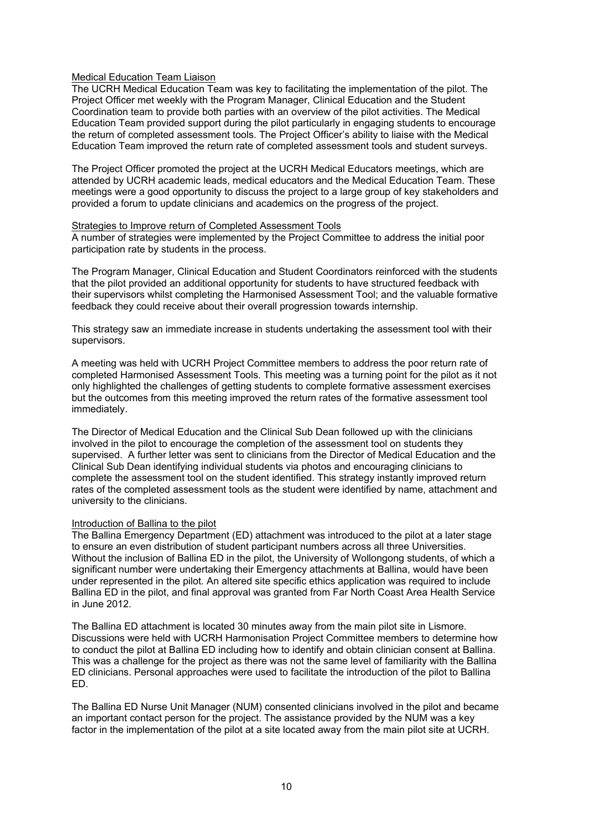#### Medical Education Team Liaison

The UCRH Medical Education Team was key to facilitating the implementation of the pilot. The Project Officer met weekly with the Program Manager, Clinical Education and the Student Coordination team to provide both parties with an overview of the pilot activities. The Medical Education Team provided support during the pilot particularly in engaging students to encourage the return of completed assessment tools. The Project Officer's ability to liaise with the Medical Education Team improved the return rate of completed assessment tools and student surveys.

The Project Officer promoted the project at the UCRH Medical Educators meetings, which are attended by UCRH academic leads, medical educators and the Medical Education Team. These meetings were a good opportunity to discuss the project to a large group of key stakeholders and provided a forum to update clinicians and academics on the progress of the project.

#### Strategies to Improve return of Completed Assessment Tools

A number of strategies were implemented by the Project Committee to address the initial poor participation rate by students in the process.

The Program Manager, Clinical Education and Student Coordinators reinforced with the students that the pilot provided an additional opportunity for students to have structured feedback with their supervisors whilst completing the Harmonised Assessment Tool; and the valuable formative feedback they could receive about their overall progression towards internship.

This strategy saw an immediate increase in students undertaking the assessment tool with their supervisors.

A meeting was held with UCRH Project Committee members to address the poor return rate of completed Harmonised Assessment Tools. This meeting was a turning point for the pilot as it not only highlighted the challenges of getting students to complete formative assessment exercises but the outcomes from this meeting improved the return rates of the formative assessment tool immediately.

The Director of Medical Education and the Clinical Sub Dean followed up with the clinicians involved in the pilot to encourage the completion of the assessment tool on students they supervised. A further letter was sent to clinicians from the Director of Medical Education and the Clinical Sub Dean identifying individual students via photos and encouraging clinicians to complete the assessment tool on the student identified. This strategy instantly improved return rates of the completed assessment tools as the student were identified by name, attachment and university to the clinicians.

#### Introduction of Ballina to the pilot

The Ballina Emergency Department (ED) attachment was introduced to the pilot at a later stage to ensure an even distribution of student participant numbers across all three Universities. Without the inclusion of Ballina ED in the pilot, the University of Wollongong students, of which a significant number were undertaking their Emergency attachments at Ballina, would have been under represented in the pilot. An altered site specific ethics application was required to include Ballina ED in the pilot, and final approval was granted from Far North Coast Area Health Service in June 2012.

The Ballina ED attachment is located 30 minutes away from the main pilot site in Lismore. Discussions were held with UCRH Harmonisation Project Committee members to determine how to conduct the pilot at Ballina ED including how to identify and obtain clinician consent at Ballina. This was a challenge for the project as there was not the same level of familiarity with the Ballina ED clinicians. Personal approaches were used to facilitate the introduction of the pilot to Ballina ED.

The Ballina ED Nurse Unit Manager (NUM) consented clinicians involved in the pilot and became an important contact person for the project. The assistance provided by the NUM was a key factor in the implementation of the pilot at a site located away from the main pilot site at UCRH.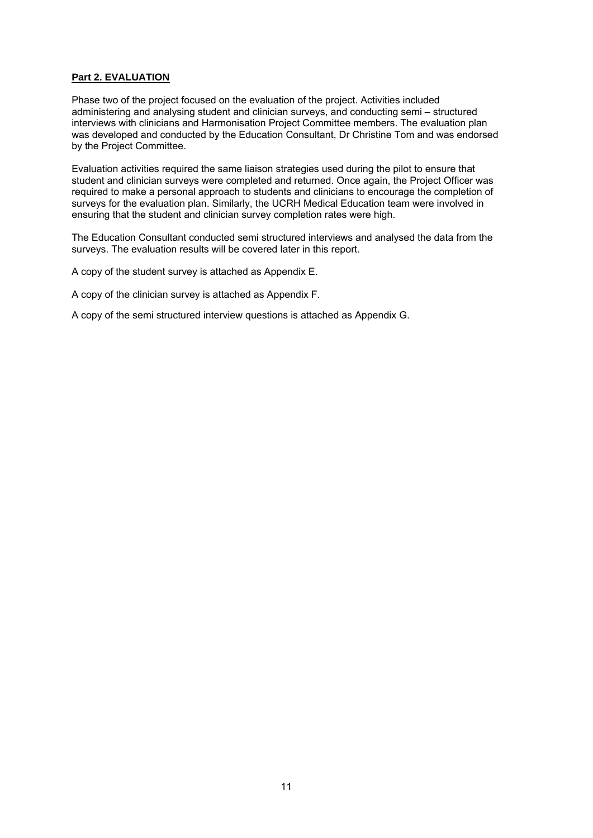## **Part 2. EVALUATION**

Phase two of the project focused on the evaluation of the project. Activities included administering and analysing student and clinician surveys, and conducting semi – structured interviews with clinicians and Harmonisation Project Committee members. The evaluation plan was developed and conducted by the Education Consultant, Dr Christine Tom and was endorsed by the Project Committee.

Evaluation activities required the same liaison strategies used during the pilot to ensure that student and clinician surveys were completed and returned. Once again, the Project Officer was required to make a personal approach to students and clinicians to encourage the completion of surveys for the evaluation plan. Similarly, the UCRH Medical Education team were involved in ensuring that the student and clinician survey completion rates were high.

The Education Consultant conducted semi structured interviews and analysed the data from the surveys. The evaluation results will be covered later in this report.

A copy of the student survey is attached as Appendix E.

A copy of the clinician survey is attached as Appendix F.

A copy of the semi structured interview questions is attached as Appendix G.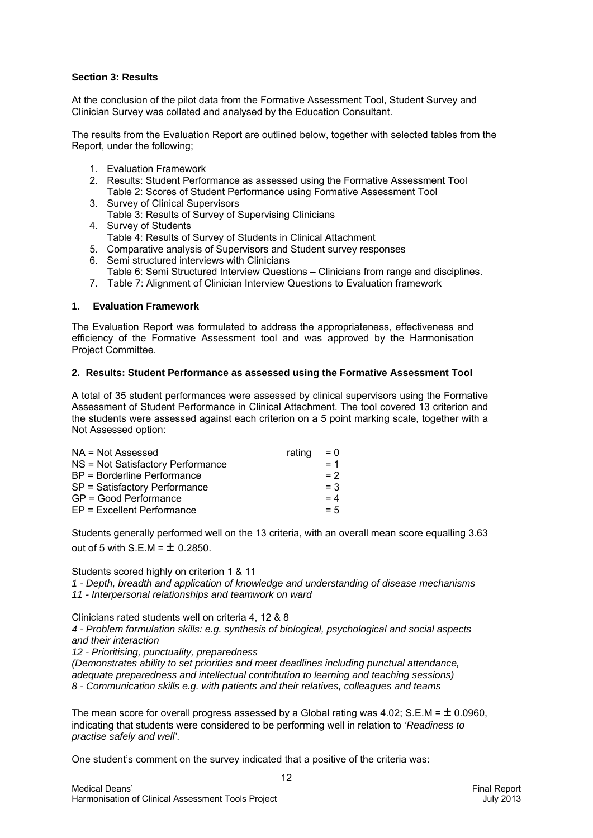## **Section 3: Results**

At the conclusion of the pilot data from the Formative Assessment Tool, Student Survey and Clinician Survey was collated and analysed by the Education Consultant.

The results from the Evaluation Report are outlined below, together with selected tables from the Report, under the following;

- 1. Evaluation Framework
- 2. Results: Student Performance as assessed using the Formative Assessment Tool Table 2: Scores of Student Performance using Formative Assessment Tool
- 3. Survey of Clinical Supervisors Table 3: Results of Survey of Supervising Clinicians
- 4. Survey of Students Table 4: Results of Survey of Students in Clinical Attachment
- 5. Comparative analysis of Supervisors and Student survey responses
- 6. Semi structured interviews with Clinicians
- Table 6: Semi Structured Interview Questions Clinicians from range and disciplines.
- 7. Table 7: Alignment of Clinician Interview Questions to Evaluation framework

## **1. Evaluation Framework**

The Evaluation Report was formulated to address the appropriateness, effectiveness and efficiency of the Formative Assessment tool and was approved by the Harmonisation Project Committee.

#### **2. Results: Student Performance as assessed using the Formative Assessment Tool**

A total of 35 student performances were assessed by clinical supervisors using the Formative Assessment of Student Performance in Clinical Attachment. The tool covered 13 criterion and the students were assessed against each criterion on a 5 point marking scale, together with a Not Assessed option:

| rating | $= 0$ |
|--------|-------|
|        | $= 1$ |
|        | $= 2$ |
|        | $= 3$ |
|        | $= 4$ |
|        | $= 5$ |
|        |       |

Students generally performed well on the 13 criteria, with an overall mean score equalling 3.63 out of 5 with  $S.E.M = \pm 0.2850$ .

Students scored highly on criterion 1 & 11

*1 - Depth, breadth and application of knowledge and understanding of disease mechanisms 11 - Interpersonal relationships and teamwork on ward* 

Clinicians rated students well on criteria 4, 12 & 8

*4 - Problem formulation skills: e.g. synthesis of biological, psychological and social aspects and their interaction* 

*12 - Prioritising, punctuality, preparedness* 

*(Demonstrates ability to set priorities and meet deadlines including punctual attendance, adequate preparedness and intellectual contribution to learning and teaching sessions) 8 - Communication skills e.g. with patients and their relatives, colleagues and teams* 

The mean score for overall progress assessed by a Global rating was 4.02; S.E.M =  $\pm$  0.0960, indicating that students were considered to be performing well in relation to *'Readiness to practise safely and well'*.

One student's comment on the survey indicated that a positive of the criteria was: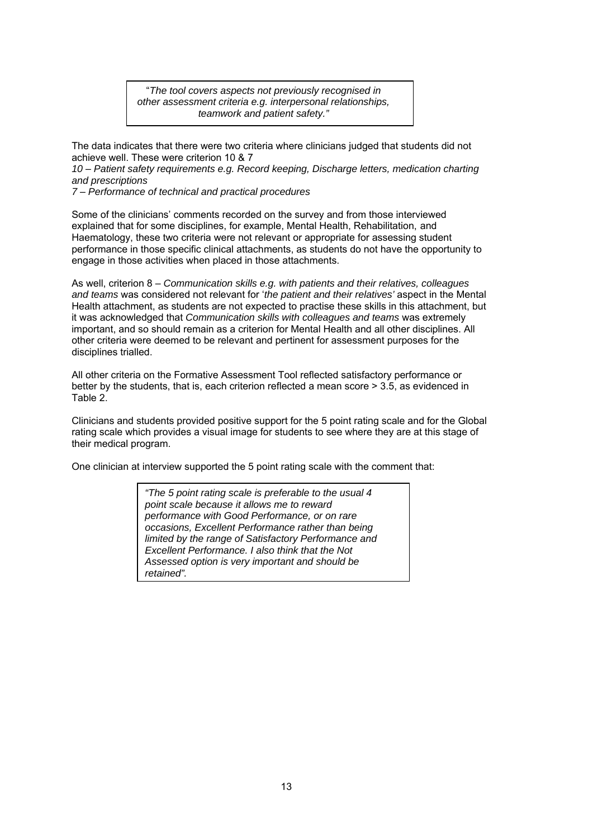"*The tool covers aspects not previously recognised in other assessment criteria e.g. interpersonal relationships, teamwork and patient safety."* 

The data indicates that there were two criteria where clinicians judged that students did not achieve well. These were criterion 10 & 7

*10* – *Patient safety requirements e.g. Record keeping, Discharge letters, medication charting and prescriptions*

*7* – *Performance of technical and practical procedures*

Some of the clinicians' comments recorded on the survey and from those interviewed explained that for some disciplines, for example, Mental Health, Rehabilitation, and Haematology, these two criteria were not relevant or appropriate for assessing student performance in those specific clinical attachments, as students do not have the opportunity to engage in those activities when placed in those attachments.

As well, criterion 8 – *Communication skills e.g. with patients and their relatives, colleagues and teams* was considered not relevant for '*the patient and their relatives'* aspect in the Mental Health attachment, as students are not expected to practise these skills in this attachment, but it was acknowledged that *Communication skills with colleagues and teams* was extremely important, and so should remain as a criterion for Mental Health and all other disciplines. All other criteria were deemed to be relevant and pertinent for assessment purposes for the disciplines trialled.

All other criteria on the Formative Assessment Tool reflected satisfactory performance or better by the students, that is, each criterion reflected a mean score > 3.5, as evidenced in Table 2.

Clinicians and students provided positive support for the 5 point rating scale and for the Global rating scale which provides a visual image for students to see where they are at this stage of their medical program.

One clinician at interview supported the 5 point rating scale with the comment that:

*"The 5 point rating scale is preferable to the usual 4 point scale because it allows me to reward performance with Good Performance, or on rare occasions, Excellent Performance rather than being limited by the range of Satisfactory Performance and Excellent Performance. I also think that the Not Assessed option is very important and should be retained".*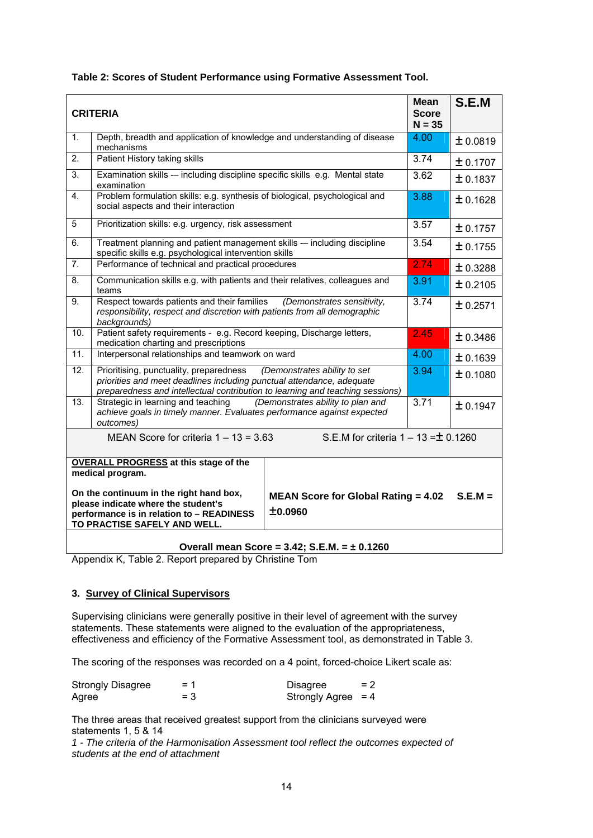|  | Table 2: Scores of Student Performance using Formative Assessment Tool. |  |  |
|--|-------------------------------------------------------------------------|--|--|
|  |                                                                         |  |  |

|                | <b>CRITERIA</b>                                                                                                                                                                                   | <b>Mean</b><br><b>Score</b><br>$N = 35$               | S.E.M    |           |  |  |
|----------------|---------------------------------------------------------------------------------------------------------------------------------------------------------------------------------------------------|-------------------------------------------------------|----------|-----------|--|--|
| 1 <sup>1</sup> | Depth, breadth and application of knowledge and understanding of disease<br>mechanisms                                                                                                            |                                                       | 4.00     | ± 0.0819  |  |  |
| 2.             | Patient History taking skills                                                                                                                                                                     |                                                       | 3.74     | ± 0.1707  |  |  |
| 3.             | Examination skills -- including discipline specific skills e.g. Mental state<br>examination                                                                                                       |                                                       | 3.62     | ± 0.1837  |  |  |
| $\overline{4}$ | Problem formulation skills: e.g. synthesis of biological, psychological and<br>social aspects and their interaction                                                                               |                                                       | 3.88     | ± 0.1628  |  |  |
| 5              | Prioritization skills: e.g. urgency, risk assessment                                                                                                                                              |                                                       | 3.57     | ± 0.1757  |  |  |
| 6.             | Treatment planning and patient management skills - including discipline<br>specific skills e.g. psychological intervention skills                                                                 |                                                       | 3.54     | ± 0.1755  |  |  |
| 7.             | Performance of technical and practical procedures                                                                                                                                                 |                                                       | 2.74     | ± 0.3288  |  |  |
| 8.             | Communication skills e.g. with patients and their relatives, colleagues and<br>teams                                                                                                              |                                                       | 3.91     | ± 0.2105  |  |  |
| 9.             | Respect towards patients and their families<br>responsibility, respect and discretion with patients from all demographic<br>backgrounds)                                                          | (Demonstrates sensitivity,                            | 3.74     | ± 0.2571  |  |  |
| 10.            | Patient safety requirements - e.g. Record keeping, Discharge letters,<br>medication charting and prescriptions                                                                                    |                                                       | 2.45     | ± 0.3486  |  |  |
| 11.            | Interpersonal relationships and teamwork on ward                                                                                                                                                  |                                                       | 4.00     | ± 0.1639  |  |  |
| 12.            | Prioritising, punctuality, preparedness<br>priorities and meet deadlines including punctual attendance, adequate<br>preparedness and intellectual contribution to learning and teaching sessions) | (Demonstrates ability to set                          | 3.94     | ± 0.1080  |  |  |
| 13.            | Strategic in learning and teaching<br>(Demonstrates ability to plan and<br>achieve goals in timely manner. Evaluates performance against expected<br>outcomes)                                    | 3.71                                                  | ± 0.1947 |           |  |  |
|                | S.E.M for criteria $1 - 13 = \pm 0.1260$<br>MEAN Score for criteria $1 - 13 = 3.63$                                                                                                               |                                                       |          |           |  |  |
|                | <b>OVERALL PROGRESS at this stage of the</b><br>medical program.                                                                                                                                  |                                                       |          |           |  |  |
|                | On the continuum in the right hand box,<br>please indicate where the student's<br>performance is in relation to - READINESS<br>TO PRACTISE SAFELY AND WELL.                                       | <b>MEAN Score for Global Rating = 4.02</b><br>±0.0960 |          | $S.E.M =$ |  |  |

## **Overall mean Score = 3.42; S.E.M. = ± 0.1260**

Appendix K, Table 2. Report prepared by Christine Tom

# **3. Survey of Clinical Supervisors**

Supervising clinicians were generally positive in their level of agreement with the survey statements. These statements were aligned to the evaluation of the appropriateness, effectiveness and efficiency of the Formative Assessment tool, as demonstrated in Table 3.

The scoring of the responses was recorded on a 4 point, forced-choice Likert scale as:

| <b>Strongly Disagree</b> | = 1   | <b>Disagree</b>      | $= 2$ |
|--------------------------|-------|----------------------|-------|
| Agree                    | $= 3$ | Strongly Agree $= 4$ |       |

The three areas that received greatest support from the clinicians surveyed were statements 1, 5 & 14

*1 - The criteria of the Harmonisation Assessment tool reflect the outcomes expected of students at the end of attachment*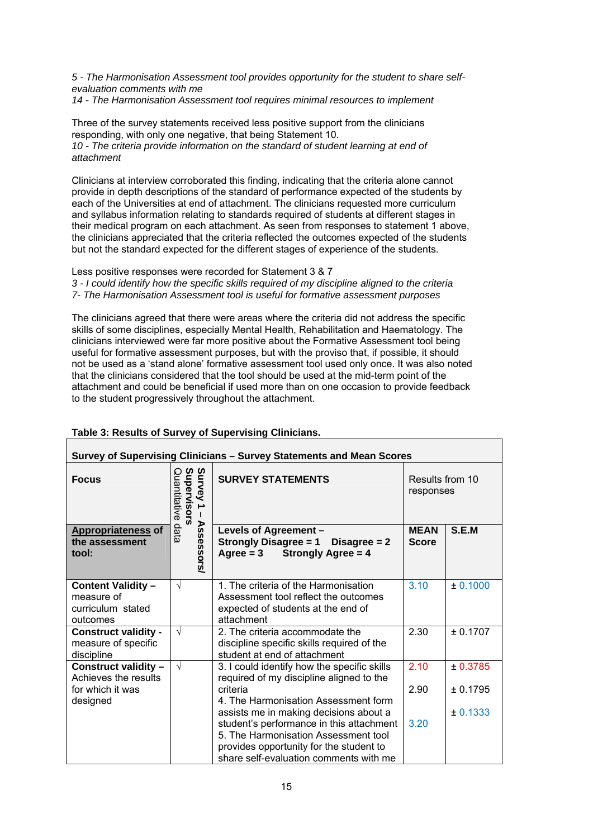*5 - The Harmonisation Assessment tool provides opportunity for the student to share selfevaluation comments with me*

*14* - *The Harmonisation Assessment tool requires minimal resources to implement*

Three of the survey statements received less positive support from the clinicians responding, with only one negative, that being Statement 10. *10 - The criteria provide information on the standard of student learning at end of attachment* 

Clinicians at interview corroborated this finding, indicating that the criteria alone cannot provide in depth descriptions of the standard of performance expected of the students by each of the Universities at end of attachment. The clinicians requested more curriculum and syllabus information relating to standards required of students at different stages in their medical program on each attachment. As seen from responses to statement 1 above, the clinicians appreciated that the criteria reflected the outcomes expected of the students but not the standard expected for the different stages of experience of the students.

Less positive responses were recorded for Statement 3 & 7

*3 - I could identify how the specific skills required of my discipline aligned to the criteria 7- The Harmonisation Assessment tool is useful for formative assessment purposes* 

The clinicians agreed that there were areas where the criteria did not address the specific skills of some disciplines, especially Mental Health, Rehabilitation and Haematology. The clinicians interviewed were far more positive about the Formative Assessment tool being useful for formative assessment purposes, but with the proviso that, if possible, it should not be used as a 'stand alone' formative assessment tool used only once. It was also noted that the clinicians considered that the tool should be used at the mid-term point of the attachment and could be beneficial if used more than on one occasion to provide feedback to the student progressively throughout the attachment.

| Survey of Supervising Clinicians - Survey Statements and Mean Scores     |                                           |                                                                                                                                                                                                                 |                              |          |
|--------------------------------------------------------------------------|-------------------------------------------|-----------------------------------------------------------------------------------------------------------------------------------------------------------------------------------------------------------------|------------------------------|----------|
| <b>Focus</b>                                                             | Survey<br>Supervisors<br>uantitative<br>→ | <b>SURVEY STATEMENTS</b>                                                                                                                                                                                        | Results from 10<br>responses |          |
| <b>Appropriateness of</b><br>the assessment<br>tool:                     | <b>Assessors</b><br>data                  | Levels of Agreement -<br><b>Strongly Disagree = 1</b><br>Disagree $= 2$<br>$Agree = 3$<br><b>Strongly Agree = 4</b>                                                                                             | <b>MEAN</b><br><b>Score</b>  | S.E.M    |
| <b>Content Validity -</b><br>measure of<br>curriculum stated<br>outcomes | $\sqrt{ }$                                | 1. The criteria of the Harmonisation<br>Assessment tool reflect the outcomes<br>expected of students at the end of<br>attachment                                                                                | 3.10                         | ± 0.1000 |
| <b>Construct validity -</b><br>measure of specific<br>discipline         | $\sqrt{ }$                                | 2. The criteria accommodate the<br>discipline specific skills required of the<br>student at end of attachment                                                                                                   | 2.30                         | ± 0.1707 |
| Construct validity -<br>Achieves the results                             | $\sqrt{ }$                                | 3. I could identify how the specific skills<br>required of my discipline aligned to the                                                                                                                         | 2.10                         | ± 0.3785 |
| for which it was<br>designed                                             |                                           | criteria<br>4. The Harmonisation Assessment form                                                                                                                                                                | 2.90                         | ± 0.1795 |
|                                                                          |                                           | assists me in making decisions about a<br>student's performance in this attachment<br>5. The Harmonisation Assessment tool<br>provides opportunity for the student to<br>share self-evaluation comments with me | 3.20                         | ± 0.1333 |

#### **Table 3: Results of Survey of Supervising Clinicians.**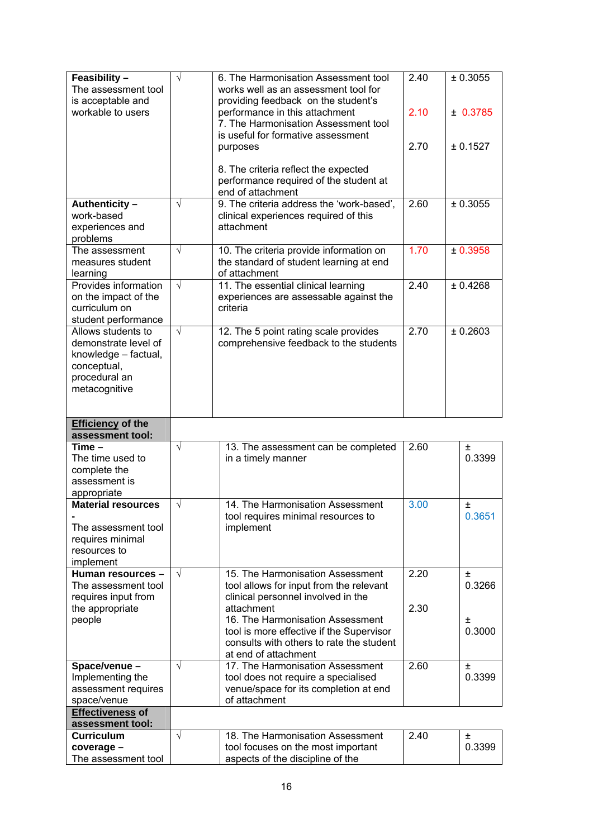| Feasibility-                           | $\sqrt{}$  | 6. The Harmonisation Assessment tool                                   | 2.40 | ± 0.3055 |
|----------------------------------------|------------|------------------------------------------------------------------------|------|----------|
| The assessment tool                    |            | works well as an assessment tool for                                   |      |          |
| is acceptable and                      |            | providing feedback on the student's                                    |      |          |
| workable to users                      |            | performance in this attachment                                         | 2.10 | ± 0.3785 |
|                                        |            | 7. The Harmonisation Assessment tool                                   |      |          |
|                                        |            | is useful for formative assessment                                     |      |          |
|                                        |            | purposes                                                               | 2.70 | ± 0.1527 |
|                                        |            |                                                                        |      |          |
|                                        |            | 8. The criteria reflect the expected                                   |      |          |
|                                        |            | performance required of the student at                                 |      |          |
|                                        |            | end of attachment                                                      |      |          |
| Authenticity-                          | $\sqrt{}$  | 9. The criteria address the 'work-based',                              | 2.60 | ± 0.3055 |
| work-based                             |            | clinical experiences required of this                                  |      |          |
| experiences and                        |            | attachment                                                             |      |          |
| problems                               |            |                                                                        |      |          |
| The assessment                         | $\sqrt{}$  | 10. The criteria provide information on                                | 1.70 | ± 0.3958 |
| measures student                       |            | the standard of student learning at end                                |      |          |
| learning                               |            | of attachment                                                          |      |          |
| Provides information                   | $\sqrt{ }$ | 11. The essential clinical learning                                    | 2.40 | ± 0.4268 |
| on the impact of the                   |            | experiences are assessable against the                                 |      |          |
| curriculum on                          |            | criteria                                                               |      |          |
| student performance                    |            |                                                                        |      |          |
| Allows students to                     | $\sqrt{ }$ | 12. The 5 point rating scale provides                                  | 2.70 | ± 0.2603 |
| demonstrate level of                   |            | comprehensive feedback to the students                                 |      |          |
| knowledge - factual,                   |            |                                                                        |      |          |
| conceptual,                            |            |                                                                        |      |          |
| procedural an                          |            |                                                                        |      |          |
| metacognitive                          |            |                                                                        |      |          |
|                                        |            |                                                                        |      |          |
|                                        |            |                                                                        |      |          |
|                                        |            |                                                                        |      |          |
| <b>Efficiency of the</b>               |            |                                                                        |      |          |
| assessment tool:                       |            |                                                                        |      |          |
| $Time -$                               | $\sqrt{}$  | 13. The assessment can be completed                                    | 2.60 | Ŧ        |
| The time used to                       |            | in a timely manner                                                     |      | 0.3399   |
| complete the                           |            |                                                                        |      |          |
| assessment is                          |            |                                                                        |      |          |
| appropriate                            |            |                                                                        |      |          |
| <b>Material resources</b>              | $\sqrt{}$  | 14. The Harmonisation Assessment                                       | 3.00 | 土        |
|                                        |            | tool requires minimal resources to                                     |      | 0.3651   |
| The assessment tool                    |            | implement                                                              |      |          |
| requires minimal                       |            |                                                                        |      |          |
| resources to                           |            |                                                                        |      |          |
| implement<br>Human resources -         | $\sqrt{ }$ | 15. The Harmonisation Assessment                                       | 2.20 | Ŧ        |
| The assessment tool                    |            | tool allows for input from the relevant                                |      | 0.3266   |
|                                        |            |                                                                        |      |          |
| requires input from<br>the appropriate |            | clinical personnel involved in the<br>attachment                       | 2.30 |          |
| people                                 |            | 16. The Harmonisation Assessment                                       |      | 土        |
|                                        |            | tool is more effective if the Supervisor                               |      | 0.3000   |
|                                        |            | consults with others to rate the student                               |      |          |
|                                        |            | at end of attachment                                                   |      |          |
| Space/venue -                          | $\sqrt{}$  | 17. The Harmonisation Assessment                                       | 2.60 | $\pm$    |
| Implementing the                       |            | tool does not require a specialised                                    |      | 0.3399   |
| assessment requires                    |            | venue/space for its completion at end                                  |      |          |
| space/venue                            |            | of attachment                                                          |      |          |
| <b>Effectiveness of</b>                |            |                                                                        |      |          |
| assessment tool:                       |            |                                                                        |      |          |
| <b>Curriculum</b>                      | $\sqrt{}$  | 18. The Harmonisation Assessment                                       | 2.40 | Ŧ        |
| coverage -<br>The assessment tool      |            | tool focuses on the most important<br>aspects of the discipline of the |      | 0.3399   |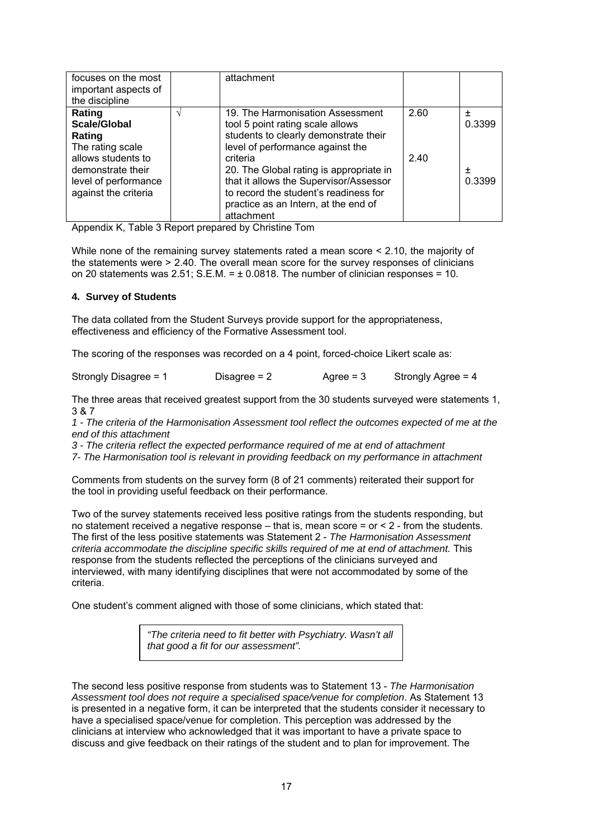| focuses on the most<br>important aspects of<br>the discipline                           | attachment                                                                                                                                                                                   |      |                 |
|-----------------------------------------------------------------------------------------|----------------------------------------------------------------------------------------------------------------------------------------------------------------------------------------------|------|-----------------|
| Rating<br>Scale/Global<br>Rating<br>The rating scale                                    | 19. The Harmonisation Assessment<br>tool 5 point rating scale allows<br>students to clearly demonstrate their<br>level of performance against the                                            | 2.60 | $\pm$<br>0.3399 |
| allows students to<br>demonstrate their<br>level of performance<br>against the criteria | criteria<br>20. The Global rating is appropriate in<br>that it allows the Supervisor/Assessor<br>to record the student's readiness for<br>practice as an Intern, at the end of<br>attachment | 2.40 | 土<br>0.3399     |

Appendix K, Table 3 Report prepared by Christine Tom

While none of the remaining survey statements rated a mean score < 2.10, the majority of the statements were > 2.40. The overall mean score for the survey responses of clinicians on 20 statements was  $2.51$ ; S.E.M. =  $\pm$  0.0818. The number of clinician responses = 10.

## **4. Survey of Students**

The data collated from the Student Surveys provide support for the appropriateness, effectiveness and efficiency of the Formative Assessment tool.

The scoring of the responses was recorded on a 4 point, forced-choice Likert scale as:

| Strongly Disagree = 1 |                |             | Strongly Agree = 4 |
|-----------------------|----------------|-------------|--------------------|
|                       | Disagree $= 2$ | Agree = $3$ |                    |
|                       |                |             |                    |
|                       |                |             |                    |

The three areas that received greatest support from the 30 students surveyed were statements 1, 3 & 7

*1 - The criteria of the Harmonisation Assessment tool reflect the outcomes expected of me at the end of this attachment* 

*3 - The criteria reflect the expected performance required of me at end of attachment* 

*7- The Harmonisation tool is relevant in providing feedback on my performance in attachment* 

Comments from students on the survey form (8 of 21 comments) reiterated their support for the tool in providing useful feedback on their performance.

Two of the survey statements received less positive ratings from the students responding, but no statement received a negative response – that is, mean score = or < 2 - from the students. The first of the less positive statements was Statement 2 - *The Harmonisation Assessment criteria accommodate the discipline specific skills required of me at end of attachment.* This response from the students reflected the perceptions of the clinicians surveyed and interviewed, with many identifying disciplines that were not accommodated by some of the criteria.

One student's comment aligned with those of some clinicians, which stated that:

*"The criteria need to fit better with Psychiatry. Wasn't all that good a fit for our assessment".*

The second less positive response from students was to Statement 13 - *The Harmonisation Assessment tool does not require a specialised space/venue for completion*. As Statement 13 is presented in a negative form, it can be interpreted that the students consider it necessary to have a specialised space/venue for completion. This perception was addressed by the clinicians at interview who acknowledged that it was important to have a private space to discuss and give feedback on their ratings of the student and to plan for improvement. The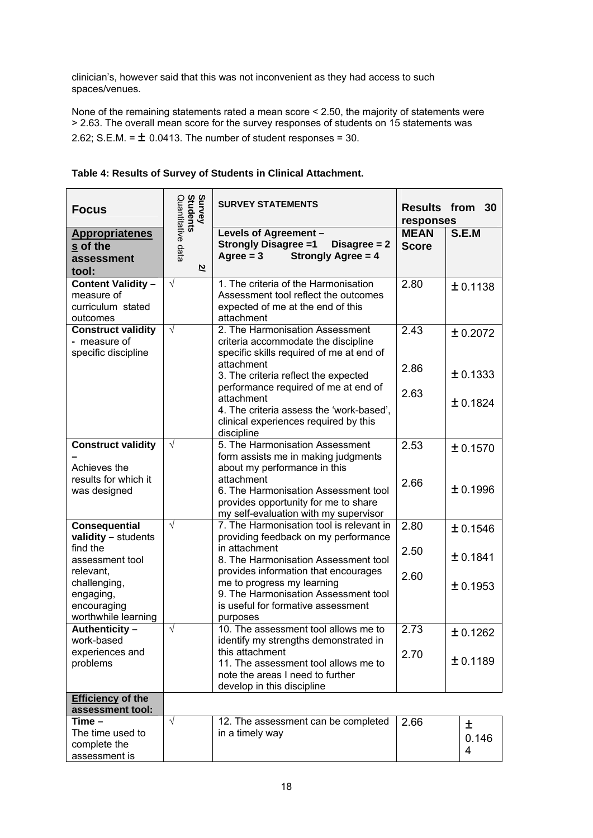clinician's, however said that this was not inconvenient as they had access to such spaces/venues.

None of the remaining statements rated a mean score < 2.50, the majority of statements were > 2.63. The overall mean score for the survey responses of students on 15 statements was 2.62; S.E.M. =  $\pm$  0.0413. The number of student responses = 30.

| <b>Focus</b>                                                             | Survey<br>Students     | <b>SURVEY STATEMENTS</b>                                                                                                            | responses                   | <b>Results from 30</b> |
|--------------------------------------------------------------------------|------------------------|-------------------------------------------------------------------------------------------------------------------------------------|-----------------------------|------------------------|
| <b>Appropriatenes</b><br>s of the<br>assessment<br>tool:                 | Quantitative data<br>2 | Levels of Agreement -<br><b>Strongly Disagree =1</b><br>Disagree $= 2$<br>Agree $= 3$<br><b>Strongly Agree = 4</b>                  | <b>MEAN</b><br><b>Score</b> | S.E.M                  |
| <b>Content Validity -</b><br>measure of<br>curriculum stated<br>outcomes | $\sqrt{ }$             | 1. The criteria of the Harmonisation<br>Assessment tool reflect the outcomes<br>expected of me at the end of this<br>attachment     | 2.80                        | ± 0.1138               |
| <b>Construct validity</b><br>- measure of<br>specific discipline         | $\sqrt{ }$             | 2. The Harmonisation Assessment<br>criteria accommodate the discipline<br>specific skills required of me at end of<br>attachment    | 2.43                        | ± 0.2072               |
|                                                                          |                        | 3. The criteria reflect the expected<br>performance required of me at end of                                                        | 2.86                        | ± 0.1333               |
|                                                                          |                        | attachment<br>4. The criteria assess the 'work-based',<br>clinical experiences required by this<br>discipline                       | 2.63                        | ± 0.1824               |
| <b>Construct validity</b><br>Achieves the                                | $\sqrt{}$              | 5. The Harmonisation Assessment<br>form assists me in making judgments<br>about my performance in this                              | 2.53                        | ± 0.1570               |
| results for which it<br>was designed                                     |                        | attachment<br>6. The Harmonisation Assessment tool<br>provides opportunity for me to share<br>my self-evaluation with my supervisor | 2.66                        | ± 0.1996               |
| <b>Consequential</b><br>validity - students                              | $\sqrt{ }$             | 7. The Harmonisation tool is relevant in<br>providing feedback on my performance                                                    | 2.80                        | ± 0.1546               |
| find the<br>assessment tool<br>relevant,                                 |                        | in attachment<br>8. The Harmonisation Assessment tool<br>provides information that encourages                                       | 2.50                        | ± 0.1841               |
| challenging,<br>engaging,<br>encouraging<br>worthwhile learning          |                        | me to progress my learning<br>9. The Harmonisation Assessment tool<br>is useful for formative assessment<br>purposes                | 2.60                        | ± 0.1953               |
| Authenticity -<br>work-based                                             | √                      | 10. The assessment tool allows me to<br>identify my strengths demonstrated in                                                       | 2.73                        | ± 0.1262               |
| experiences and<br>problems                                              |                        | this attachment<br>11. The assessment tool allows me to<br>note the areas I need to further<br>develop in this discipline           | 2.70                        | ± 0.1189               |
| <b>Efficiency of the</b><br>assessment tool:                             |                        |                                                                                                                                     |                             |                        |
| $Time -$<br>The time used to<br>complete the<br>assessment is            | $\sqrt{}$              | 12. The assessment can be completed<br>in a timely way                                                                              | 2.66                        | 土<br>0.146<br>4        |

## **Table 4: Results of Survey of Students in Clinical Attachment.**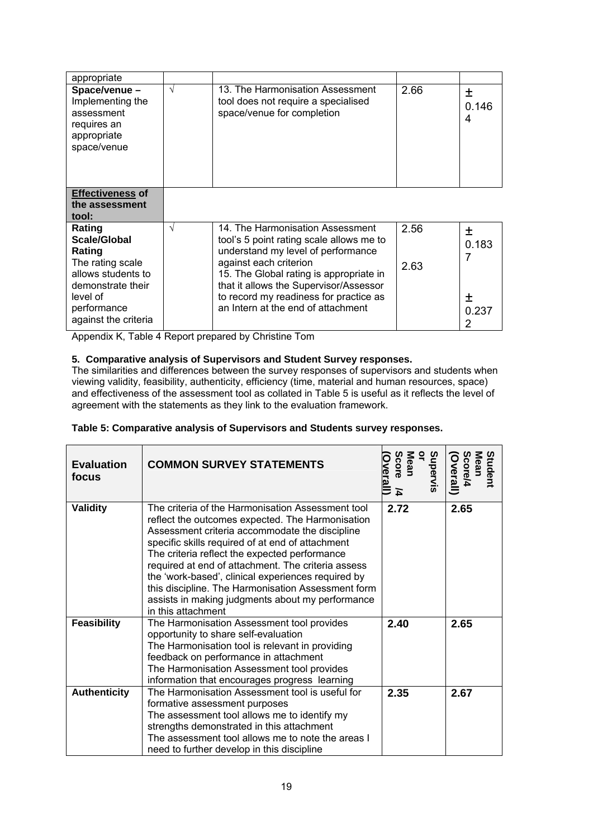| appropriate                                                                                     |   |                                                                                                                                                                                                                                   |              |                 |
|-------------------------------------------------------------------------------------------------|---|-----------------------------------------------------------------------------------------------------------------------------------------------------------------------------------------------------------------------------------|--------------|-----------------|
| Space/venue -<br>Implementing the<br>assessment<br>requires an<br>appropriate<br>space/venue    | V | 13. The Harmonisation Assessment<br>tool does not require a specialised<br>space/venue for completion                                                                                                                             | 2.66         | 土<br>0.146<br>4 |
| <b>Effectiveness of</b><br>the assessment<br>tool:                                              |   |                                                                                                                                                                                                                                   |              |                 |
| Rating<br>Scale/Global<br>Rating<br>The rating scale<br>allows students to<br>demonstrate their | V | 14. The Harmonisation Assessment<br>tool's 5 point rating scale allows me to<br>understand my level of performance<br>against each criterion<br>15. The Global rating is appropriate in<br>that it allows the Supervisor/Assessor | 2.56<br>2.63 | 土<br>0.183<br>7 |
| level of<br>performance<br>against the criteria                                                 |   | to record my readiness for practice as<br>an Intern at the end of attachment                                                                                                                                                      |              | ┿<br>0.237<br>2 |

Appendix K, Table 4 Report prepared by Christine Tom

# **5. Comparative analysis of Supervisors and Student Survey responses.**

The similarities and differences between the survey responses of supervisors and students when viewing validity, feasibility, authenticity, efficiency (time, material and human resources, space) and effectiveness of the assessment tool as collated in Table 5 is useful as it reflects the level of agreement with the statements as they link to the evaluation framework.

#### **Table 5: Comparative analysis of Supervisors and Students survey responses.**

| <b>Evaluation</b><br>focus | <b>COMMON SURVEY STATEMENTS</b>                                                                                                                                                                                                                                                                                                                                                                                                                                                                          | Supervis<br>ă<br>Mean<br>Score<br><u><b>Werall</b></u><br>즈 | Student<br><b>Mean</b><br>Score/4<br><b>Overall</b> ) |
|----------------------------|----------------------------------------------------------------------------------------------------------------------------------------------------------------------------------------------------------------------------------------------------------------------------------------------------------------------------------------------------------------------------------------------------------------------------------------------------------------------------------------------------------|-------------------------------------------------------------|-------------------------------------------------------|
| Validity                   | The criteria of the Harmonisation Assessment tool<br>reflect the outcomes expected. The Harmonisation<br>Assessment criteria accommodate the discipline<br>specific skills required of at end of attachment<br>The criteria reflect the expected performance<br>required at end of attachment. The criteria assess<br>the 'work-based', clinical experiences required by<br>this discipline. The Harmonisation Assessment form<br>assists in making judgments about my performance<br>in this attachment | 2.72                                                        | 2.65                                                  |
| <b>Feasibility</b>         | The Harmonisation Assessment tool provides<br>opportunity to share self-evaluation<br>The Harmonisation tool is relevant in providing<br>feedback on performance in attachment<br>The Harmonisation Assessment tool provides<br>information that encourages progress learning                                                                                                                                                                                                                            | 2.40                                                        | 2.65                                                  |
| <b>Authenticity</b>        | The Harmonisation Assessment tool is useful for<br>formative assessment purposes<br>The assessment tool allows me to identify my<br>strengths demonstrated in this attachment<br>The assessment tool allows me to note the areas I<br>need to further develop in this discipline                                                                                                                                                                                                                         | 2.35                                                        | 2.67                                                  |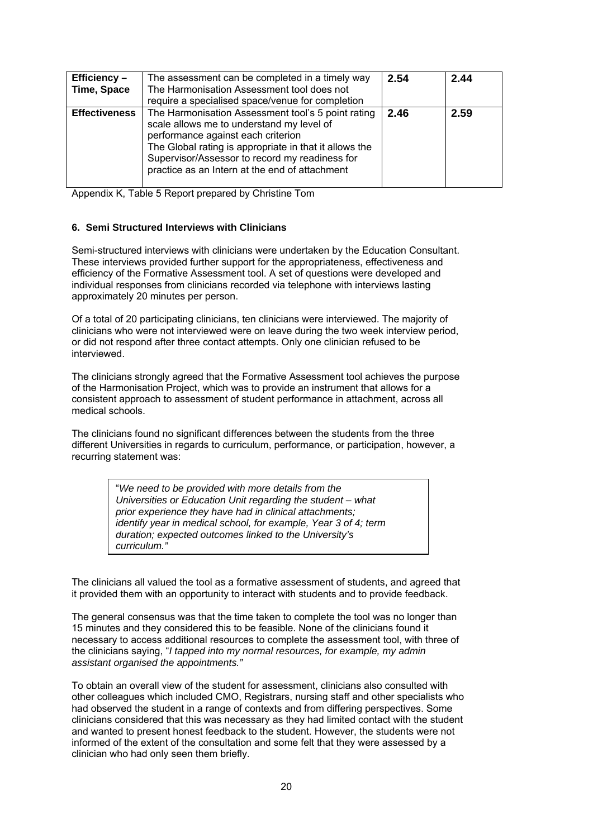| Efficiency-<br>Time, Space | The assessment can be completed in a timely way<br>The Harmonisation Assessment tool does not<br>require a specialised space/venue for completion                                                                                                                                                   | 2.54 | 2.44 |
|----------------------------|-----------------------------------------------------------------------------------------------------------------------------------------------------------------------------------------------------------------------------------------------------------------------------------------------------|------|------|
| <b>Effectiveness</b>       | The Harmonisation Assessment tool's 5 point rating<br>scale allows me to understand my level of<br>performance against each criterion<br>The Global rating is appropriate in that it allows the<br>Supervisor/Assessor to record my readiness for<br>practice as an Intern at the end of attachment | 2.46 | 2.59 |

Appendix K, Table 5 Report prepared by Christine Tom

#### **6. Semi Structured Interviews with Clinicians**

Semi-structured interviews with clinicians were undertaken by the Education Consultant. These interviews provided further support for the appropriateness, effectiveness and efficiency of the Formative Assessment tool. A set of questions were developed and individual responses from clinicians recorded via telephone with interviews lasting approximately 20 minutes per person.

Of a total of 20 participating clinicians, ten clinicians were interviewed. The majority of clinicians who were not interviewed were on leave during the two week interview period, or did not respond after three contact attempts. Only one clinician refused to be interviewed.

The clinicians strongly agreed that the Formative Assessment tool achieves the purpose of the Harmonisation Project, which was to provide an instrument that allows for a consistent approach to assessment of student performance in attachment, across all medical schools.

The clinicians found no significant differences between the students from the three different Universities in regards to curriculum, performance, or participation, however, a recurring statement was:

> "*We need to be provided with more details from the Universities or Education Unit regarding the student – what prior experience they have had in clinical attachments; identify year in medical school, for example, Year 3 of 4; term duration; expected outcomes linked to the University's curriculum."*

The clinicians all valued the tool as a formative assessment of students, and agreed that it provided them with an opportunity to interact with students and to provide feedback.

The general consensus was that the time taken to complete the tool was no longer than 15 minutes and they considered this to be feasible. None of the clinicians found it necessary to access additional resources to complete the assessment tool, with three of the clinicians saying, "*I tapped into my normal resources, for example, my admin assistant organised the appointments."* 

To obtain an overall view of the student for assessment, clinicians also consulted with other colleagues which included CMO, Registrars, nursing staff and other specialists who had observed the student in a range of contexts and from differing perspectives. Some clinicians considered that this was necessary as they had limited contact with the student and wanted to present honest feedback to the student. However, the students were not informed of the extent of the consultation and some felt that they were assessed by a clinician who had only seen them briefly.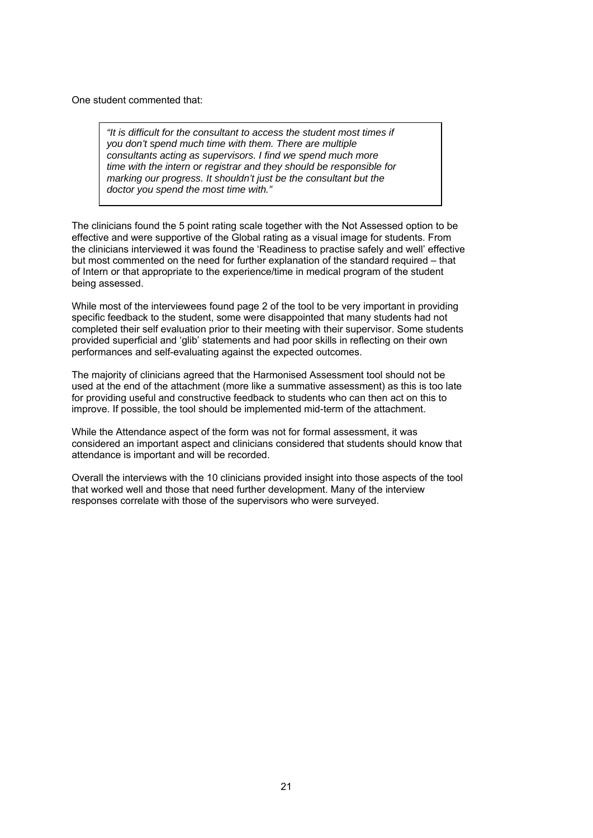One student commented that:

*"It is difficult for the consultant to access the student most times if you don't spend much time with them. There are multiple consultants acting as supervisors. I find we spend much more time with the intern or registrar and they should be responsible for marking our progress. It shouldn't just be the consultant but the doctor you spend the most time with."*

The clinicians found the 5 point rating scale together with the Not Assessed option to be effective and were supportive of the Global rating as a visual image for students. From the clinicians interviewed it was found the 'Readiness to practise safely and well' effective but most commented on the need for further explanation of the standard required – that of Intern or that appropriate to the experience/time in medical program of the student being assessed.

While most of the interviewees found page 2 of the tool to be very important in providing specific feedback to the student, some were disappointed that many students had not completed their self evaluation prior to their meeting with their supervisor. Some students provided superficial and 'glib' statements and had poor skills in reflecting on their own performances and self-evaluating against the expected outcomes.

The majority of clinicians agreed that the Harmonised Assessment tool should not be used at the end of the attachment (more like a summative assessment) as this is too late for providing useful and constructive feedback to students who can then act on this to improve. If possible, the tool should be implemented mid-term of the attachment.

While the Attendance aspect of the form was not for formal assessment, it was considered an important aspect and clinicians considered that students should know that attendance is important and will be recorded.

Overall the interviews with the 10 clinicians provided insight into those aspects of the tool that worked well and those that need further development. Many of the interview responses correlate with those of the supervisors who were surveyed.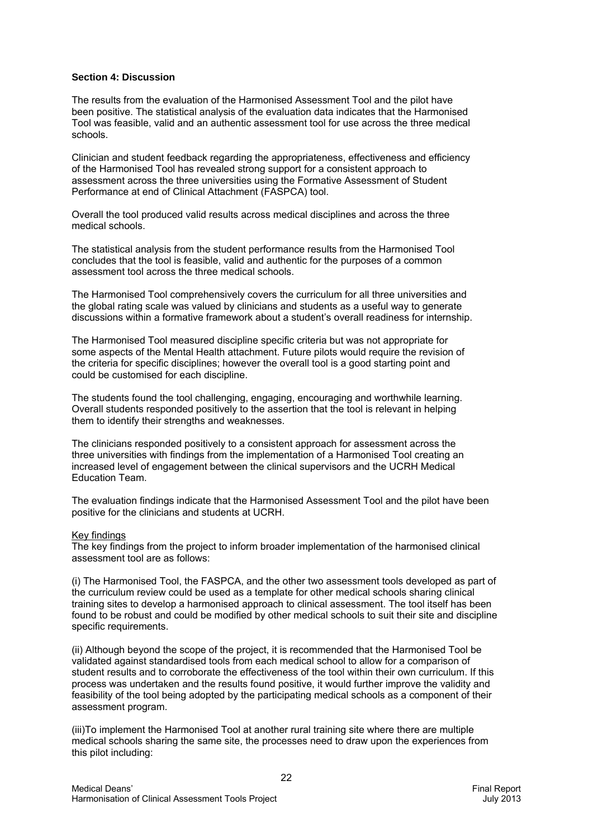#### **Section 4: Discussion**

The results from the evaluation of the Harmonised Assessment Tool and the pilot have been positive. The statistical analysis of the evaluation data indicates that the Harmonised Tool was feasible, valid and an authentic assessment tool for use across the three medical schools.

Clinician and student feedback regarding the appropriateness, effectiveness and efficiency of the Harmonised Tool has revealed strong support for a consistent approach to assessment across the three universities using the Formative Assessment of Student Performance at end of Clinical Attachment (FASPCA) tool.

Overall the tool produced valid results across medical disciplines and across the three medical schools.

The statistical analysis from the student performance results from the Harmonised Tool concludes that the tool is feasible, valid and authentic for the purposes of a common assessment tool across the three medical schools.

The Harmonised Tool comprehensively covers the curriculum for all three universities and the global rating scale was valued by clinicians and students as a useful way to generate discussions within a formative framework about a student's overall readiness for internship.

The Harmonised Tool measured discipline specific criteria but was not appropriate for some aspects of the Mental Health attachment. Future pilots would require the revision of the criteria for specific disciplines; however the overall tool is a good starting point and could be customised for each discipline.

The students found the tool challenging, engaging, encouraging and worthwhile learning. Overall students responded positively to the assertion that the tool is relevant in helping them to identify their strengths and weaknesses.

The clinicians responded positively to a consistent approach for assessment across the three universities with findings from the implementation of a Harmonised Tool creating an increased level of engagement between the clinical supervisors and the UCRH Medical Education Team.

The evaluation findings indicate that the Harmonised Assessment Tool and the pilot have been positive for the clinicians and students at UCRH.

#### Key findings

The key findings from the project to inform broader implementation of the harmonised clinical assessment tool are as follows:

(i) The Harmonised Tool, the FASPCA, and the other two assessment tools developed as part of the curriculum review could be used as a template for other medical schools sharing clinical training sites to develop a harmonised approach to clinical assessment. The tool itself has been found to be robust and could be modified by other medical schools to suit their site and discipline specific requirements.

(ii) Although beyond the scope of the project, it is recommended that the Harmonised Tool be validated against standardised tools from each medical school to allow for a comparison of student results and to corroborate the effectiveness of the tool within their own curriculum. If this process was undertaken and the results found positive, it would further improve the validity and feasibility of the tool being adopted by the participating medical schools as a component of their assessment program.

(iii)To implement the Harmonised Tool at another rural training site where there are multiple medical schools sharing the same site, the processes need to draw upon the experiences from this pilot including: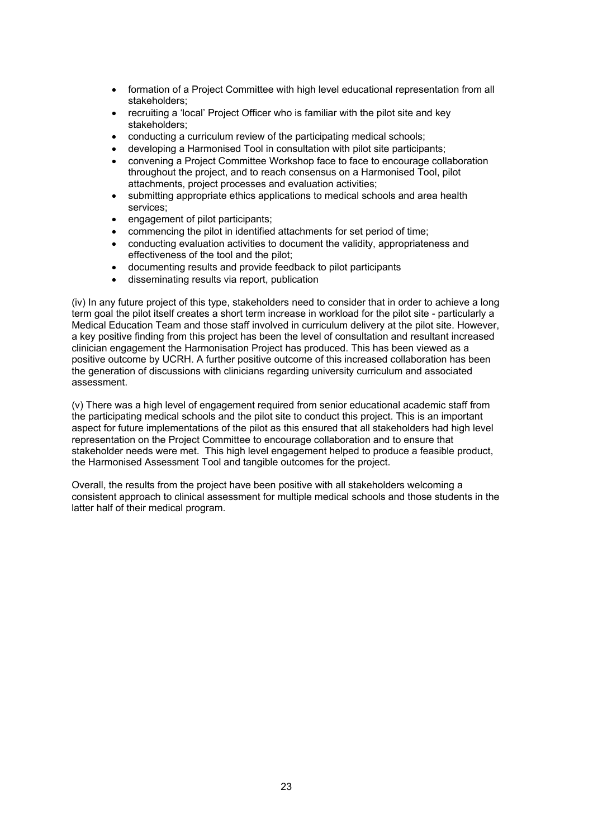- formation of a Project Committee with high level educational representation from all stakeholders;
- recruiting a 'local' Project Officer who is familiar with the pilot site and key stakeholders;
- conducting a curriculum review of the participating medical schools;
- developing a Harmonised Tool in consultation with pilot site participants;
- convening a Project Committee Workshop face to face to encourage collaboration throughout the project, and to reach consensus on a Harmonised Tool, pilot attachments, project processes and evaluation activities;
- submitting appropriate ethics applications to medical schools and area health services;
- engagement of pilot participants;
- commencing the pilot in identified attachments for set period of time;
- conducting evaluation activities to document the validity, appropriateness and effectiveness of the tool and the pilot;
- documenting results and provide feedback to pilot participants
- disseminating results via report, publication

(iv) In any future project of this type, stakeholders need to consider that in order to achieve a long term goal the pilot itself creates a short term increase in workload for the pilot site - particularly a Medical Education Team and those staff involved in curriculum delivery at the pilot site. However, a key positive finding from this project has been the level of consultation and resultant increased clinician engagement the Harmonisation Project has produced. This has been viewed as a positive outcome by UCRH. A further positive outcome of this increased collaboration has been the generation of discussions with clinicians regarding university curriculum and associated assessment.

(v) There was a high level of engagement required from senior educational academic staff from the participating medical schools and the pilot site to conduct this project. This is an important aspect for future implementations of the pilot as this ensured that all stakeholders had high level representation on the Project Committee to encourage collaboration and to ensure that stakeholder needs were met. This high level engagement helped to produce a feasible product, the Harmonised Assessment Tool and tangible outcomes for the project.

Overall, the results from the project have been positive with all stakeholders welcoming a consistent approach to clinical assessment for multiple medical schools and those students in the latter half of their medical program.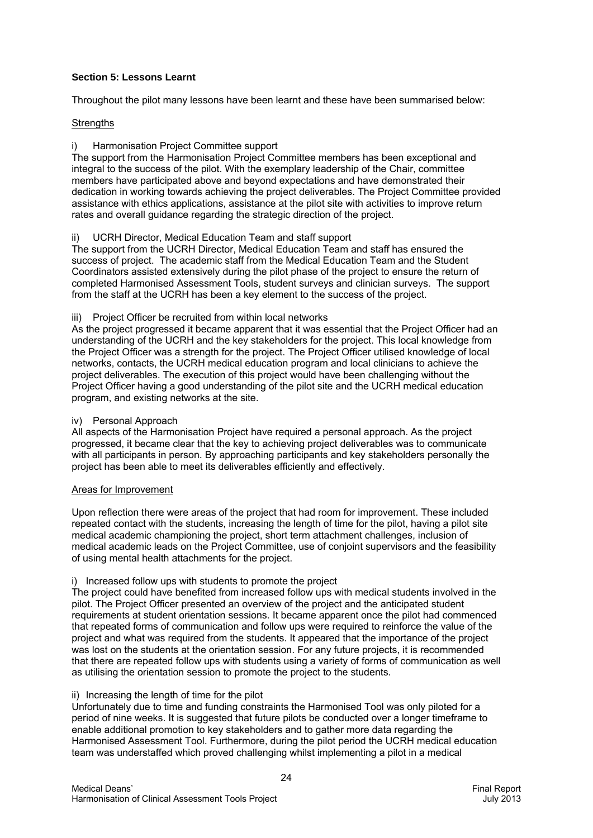## **Section 5: Lessons Learnt**

Throughout the pilot many lessons have been learnt and these have been summarised below:

#### **Strengths**

#### i) Harmonisation Project Committee support

The support from the Harmonisation Project Committee members has been exceptional and integral to the success of the pilot. With the exemplary leadership of the Chair, committee members have participated above and beyond expectations and have demonstrated their dedication in working towards achieving the project deliverables. The Project Committee provided assistance with ethics applications, assistance at the pilot site with activities to improve return rates and overall guidance regarding the strategic direction of the project.

#### UCRH Director, Medical Education Team and staff support

The support from the UCRH Director, Medical Education Team and staff has ensured the success of project. The academic staff from the Medical Education Team and the Student Coordinators assisted extensively during the pilot phase of the project to ensure the return of completed Harmonised Assessment Tools, student surveys and clinician surveys. The support from the staff at the UCRH has been a key element to the success of the project.

#### iii) Project Officer be recruited from within local networks

As the project progressed it became apparent that it was essential that the Project Officer had an understanding of the UCRH and the key stakeholders for the project. This local knowledge from the Project Officer was a strength for the project. The Project Officer utilised knowledge of local networks, contacts, the UCRH medical education program and local clinicians to achieve the project deliverables. The execution of this project would have been challenging without the Project Officer having a good understanding of the pilot site and the UCRH medical education program, and existing networks at the site.

#### iv) Personal Approach

All aspects of the Harmonisation Project have required a personal approach. As the project progressed, it became clear that the key to achieving project deliverables was to communicate with all participants in person. By approaching participants and key stakeholders personally the project has been able to meet its deliverables efficiently and effectively.

#### Areas for Improvement

Upon reflection there were areas of the project that had room for improvement. These included repeated contact with the students, increasing the length of time for the pilot, having a pilot site medical academic championing the project, short term attachment challenges, inclusion of medical academic leads on the Project Committee, use of conjoint supervisors and the feasibility of using mental health attachments for the project.

#### i) Increased follow ups with students to promote the project

The project could have benefited from increased follow ups with medical students involved in the pilot. The Project Officer presented an overview of the project and the anticipated student requirements at student orientation sessions. It became apparent once the pilot had commenced that repeated forms of communication and follow ups were required to reinforce the value of the project and what was required from the students. It appeared that the importance of the project was lost on the students at the orientation session. For any future projects, it is recommended that there are repeated follow ups with students using a variety of forms of communication as well as utilising the orientation session to promote the project to the students.

#### ii) Increasing the length of time for the pilot

Unfortunately due to time and funding constraints the Harmonised Tool was only piloted for a period of nine weeks. It is suggested that future pilots be conducted over a longer timeframe to enable additional promotion to key stakeholders and to gather more data regarding the Harmonised Assessment Tool. Furthermore, during the pilot period the UCRH medical education team was understaffed which proved challenging whilst implementing a pilot in a medical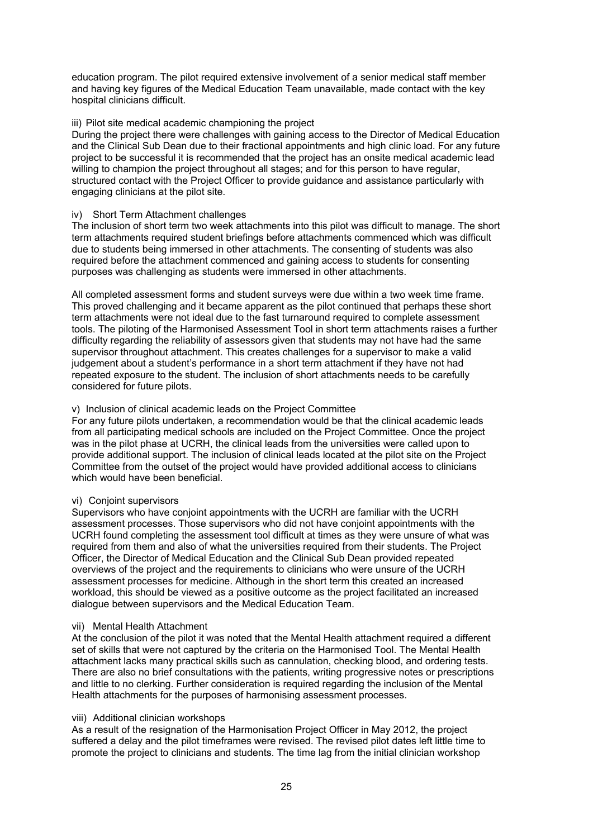education program. The pilot required extensive involvement of a senior medical staff member and having key figures of the Medical Education Team unavailable, made contact with the key hospital clinicians difficult.

#### iii) Pilot site medical academic championing the project

During the project there were challenges with gaining access to the Director of Medical Education and the Clinical Sub Dean due to their fractional appointments and high clinic load. For any future project to be successful it is recommended that the project has an onsite medical academic lead willing to champion the project throughout all stages; and for this person to have regular, structured contact with the Project Officer to provide guidance and assistance particularly with engaging clinicians at the pilot site.

#### iv) Short Term Attachment challenges

The inclusion of short term two week attachments into this pilot was difficult to manage. The short term attachments required student briefings before attachments commenced which was difficult due to students being immersed in other attachments. The consenting of students was also required before the attachment commenced and gaining access to students for consenting purposes was challenging as students were immersed in other attachments.

All completed assessment forms and student surveys were due within a two week time frame. This proved challenging and it became apparent as the pilot continued that perhaps these short term attachments were not ideal due to the fast turnaround required to complete assessment tools. The piloting of the Harmonised Assessment Tool in short term attachments raises a further difficulty regarding the reliability of assessors given that students may not have had the same supervisor throughout attachment. This creates challenges for a supervisor to make a valid judgement about a student's performance in a short term attachment if they have not had repeated exposure to the student. The inclusion of short attachments needs to be carefully considered for future pilots.

#### v) Inclusion of clinical academic leads on the Project Committee

For any future pilots undertaken, a recommendation would be that the clinical academic leads from all participating medical schools are included on the Project Committee. Once the project was in the pilot phase at UCRH, the clinical leads from the universities were called upon to provide additional support. The inclusion of clinical leads located at the pilot site on the Project Committee from the outset of the project would have provided additional access to clinicians which would have been beneficial.

#### vi) Conjoint supervisors

Supervisors who have conjoint appointments with the UCRH are familiar with the UCRH assessment processes. Those supervisors who did not have conjoint appointments with the UCRH found completing the assessment tool difficult at times as they were unsure of what was required from them and also of what the universities required from their students. The Project Officer, the Director of Medical Education and the Clinical Sub Dean provided repeated overviews of the project and the requirements to clinicians who were unsure of the UCRH assessment processes for medicine. Although in the short term this created an increased workload, this should be viewed as a positive outcome as the project facilitated an increased dialogue between supervisors and the Medical Education Team.

#### vii) Mental Health Attachment

At the conclusion of the pilot it was noted that the Mental Health attachment required a different set of skills that were not captured by the criteria on the Harmonised Tool. The Mental Health attachment lacks many practical skills such as cannulation, checking blood, and ordering tests. There are also no brief consultations with the patients, writing progressive notes or prescriptions and little to no clerking. Further consideration is required regarding the inclusion of the Mental Health attachments for the purposes of harmonising assessment processes.

## viii) Additional clinician workshops

As a result of the resignation of the Harmonisation Project Officer in May 2012, the project suffered a delay and the pilot timeframes were revised. The revised pilot dates left little time to promote the project to clinicians and students. The time lag from the initial clinician workshop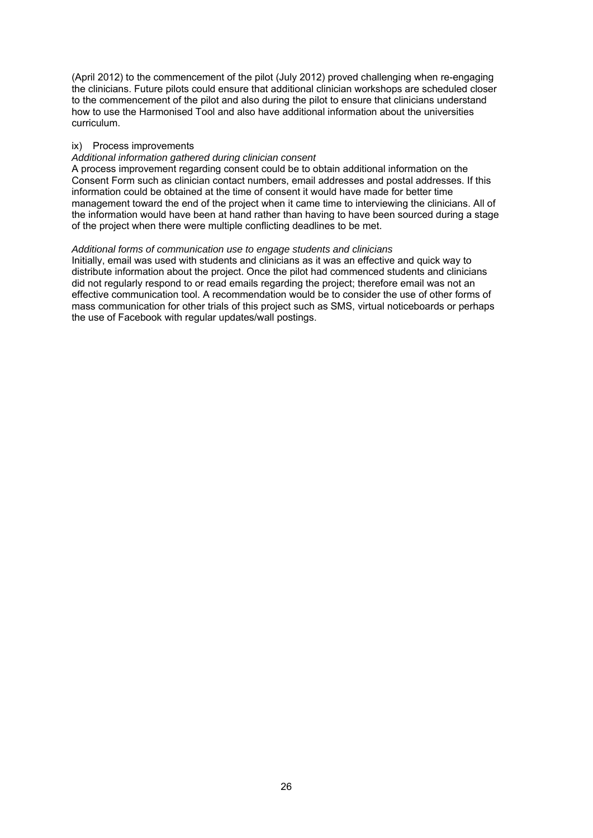(April 2012) to the commencement of the pilot (July 2012) proved challenging when re-engaging the clinicians. Future pilots could ensure that additional clinician workshops are scheduled closer to the commencement of the pilot and also during the pilot to ensure that clinicians understand how to use the Harmonised Tool and also have additional information about the universities curriculum.

#### ix) Process improvements

#### *Additional information gathered during clinician consent*

A process improvement regarding consent could be to obtain additional information on the Consent Form such as clinician contact numbers, email addresses and postal addresses. If this information could be obtained at the time of consent it would have made for better time management toward the end of the project when it came time to interviewing the clinicians. All of the information would have been at hand rather than having to have been sourced during a stage of the project when there were multiple conflicting deadlines to be met.

#### *Additional forms of communication use to engage students and clinicians*

Initially, email was used with students and clinicians as it was an effective and quick way to distribute information about the project. Once the pilot had commenced students and clinicians did not regularly respond to or read emails regarding the project; therefore email was not an effective communication tool. A recommendation would be to consider the use of other forms of mass communication for other trials of this project such as SMS, virtual noticeboards or perhaps the use of Facebook with regular updates/wall postings.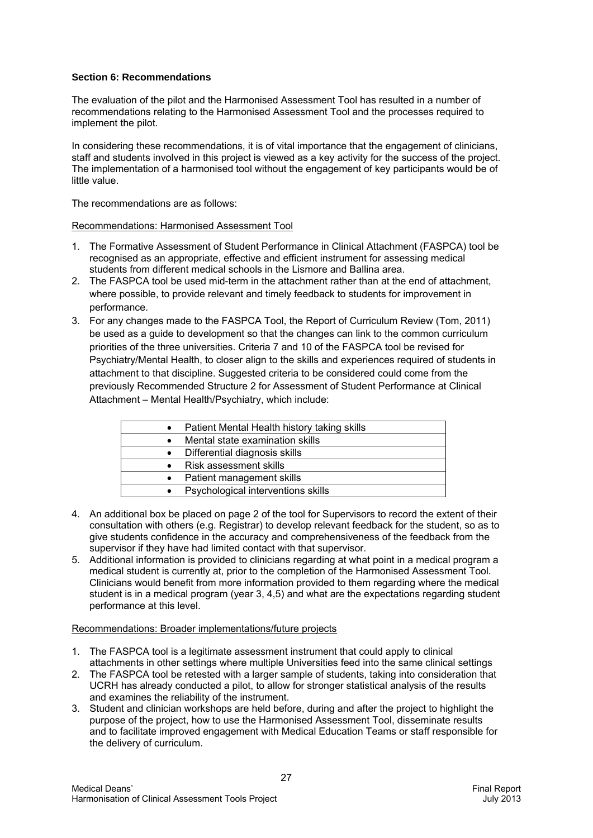## **Section 6: Recommendations**

The evaluation of the pilot and the Harmonised Assessment Tool has resulted in a number of recommendations relating to the Harmonised Assessment Tool and the processes required to implement the pilot.

In considering these recommendations, it is of vital importance that the engagement of clinicians, staff and students involved in this project is viewed as a key activity for the success of the project. The implementation of a harmonised tool without the engagement of key participants would be of little value.

The recommendations are as follows:

#### Recommendations: Harmonised Assessment Tool

- 1. The Formative Assessment of Student Performance in Clinical Attachment (FASPCA) tool be recognised as an appropriate, effective and efficient instrument for assessing medical students from different medical schools in the Lismore and Ballina area.
- 2. The FASPCA tool be used mid-term in the attachment rather than at the end of attachment, where possible, to provide relevant and timely feedback to students for improvement in performance.
- 3. For any changes made to the FASPCA Tool, the Report of Curriculum Review (Tom, 2011) be used as a guide to development so that the changes can link to the common curriculum priorities of the three universities. Criteria 7 and 10 of the FASPCA tool be revised for Psychiatry/Mental Health, to closer align to the skills and experiences required of students in attachment to that discipline. Suggested criteria to be considered could come from the previously Recommended Structure 2 for Assessment of Student Performance at Clinical Attachment – Mental Health/Psychiatry, which include:

| $\bullet$ | Patient Mental Health history taking skills |
|-----------|---------------------------------------------|
|           | Mental state examination skills             |
| $\bullet$ | Differential diagnosis skills               |
| $\bullet$ | Risk assessment skills                      |
| $\bullet$ | Patient management skills                   |
|           | Psychological interventions skills          |
|           |                                             |

- 4. An additional box be placed on page 2 of the tool for Supervisors to record the extent of their consultation with others (e.g. Registrar) to develop relevant feedback for the student, so as to give students confidence in the accuracy and comprehensiveness of the feedback from the supervisor if they have had limited contact with that supervisor.
- 5. Additional information is provided to clinicians regarding at what point in a medical program a medical student is currently at, prior to the completion of the Harmonised Assessment Tool. Clinicians would benefit from more information provided to them regarding where the medical student is in a medical program (year 3, 4,5) and what are the expectations regarding student performance at this level.

#### Recommendations: Broader implementations/future projects

- 1. The FASPCA tool is a legitimate assessment instrument that could apply to clinical attachments in other settings where multiple Universities feed into the same clinical settings
- 2. The FASPCA tool be retested with a larger sample of students, taking into consideration that UCRH has already conducted a pilot, to allow for stronger statistical analysis of the results and examines the reliability of the instrument.
- 3. Student and clinician workshops are held before, during and after the project to highlight the purpose of the project, how to use the Harmonised Assessment Tool, disseminate results and to facilitate improved engagement with Medical Education Teams or staff responsible for the delivery of curriculum.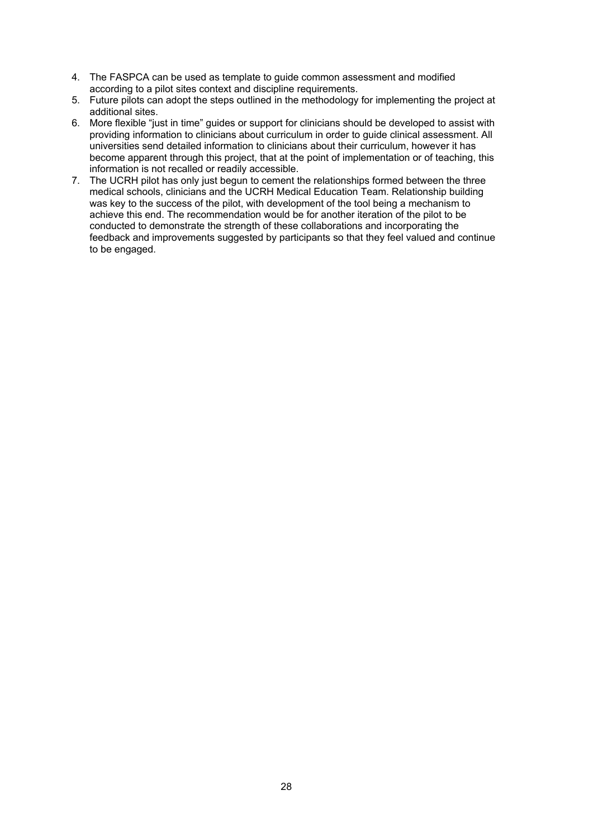- 4. The FASPCA can be used as template to guide common assessment and modified according to a pilot sites context and discipline requirements.
- 5. Future pilots can adopt the steps outlined in the methodology for implementing the project at additional sites.
- 6. More flexible "just in time" guides or support for clinicians should be developed to assist with providing information to clinicians about curriculum in order to guide clinical assessment. All universities send detailed information to clinicians about their curriculum, however it has become apparent through this project, that at the point of implementation or of teaching, this information is not recalled or readily accessible.
- 7. The UCRH pilot has only just begun to cement the relationships formed between the three medical schools, clinicians and the UCRH Medical Education Team. Relationship building was key to the success of the pilot, with development of the tool being a mechanism to achieve this end. The recommendation would be for another iteration of the pilot to be conducted to demonstrate the strength of these collaborations and incorporating the feedback and improvements suggested by participants so that they feel valued and continue to be engaged.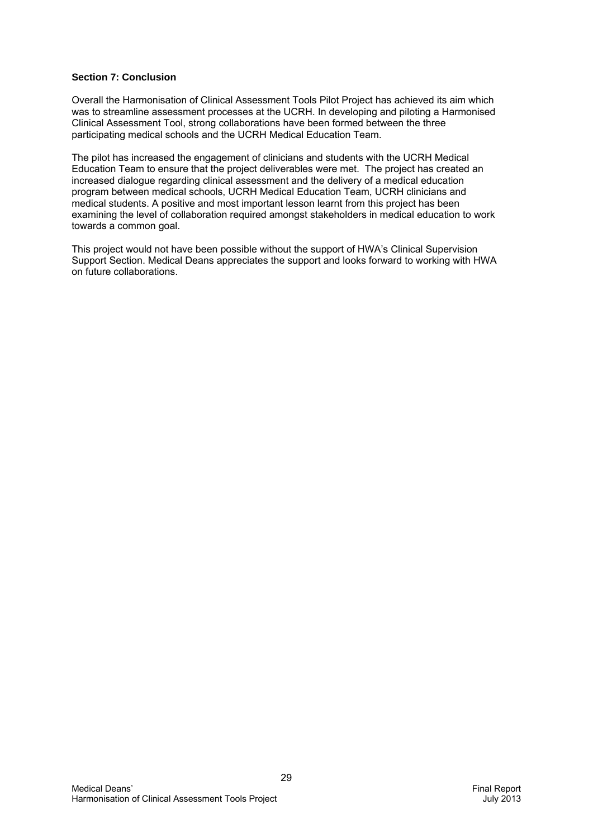## **Section 7: Conclusion**

Overall the Harmonisation of Clinical Assessment Tools Pilot Project has achieved its aim which was to streamline assessment processes at the UCRH. In developing and piloting a Harmonised Clinical Assessment Tool, strong collaborations have been formed between the three participating medical schools and the UCRH Medical Education Team.

The pilot has increased the engagement of clinicians and students with the UCRH Medical Education Team to ensure that the project deliverables were met. The project has created an increased dialogue regarding clinical assessment and the delivery of a medical education program between medical schools, UCRH Medical Education Team, UCRH clinicians and medical students. A positive and most important lesson learnt from this project has been examining the level of collaboration required amongst stakeholders in medical education to work towards a common goal.

This project would not have been possible without the support of HWA's Clinical Supervision Support Section. Medical Deans appreciates the support and looks forward to working with HWA on future collaborations.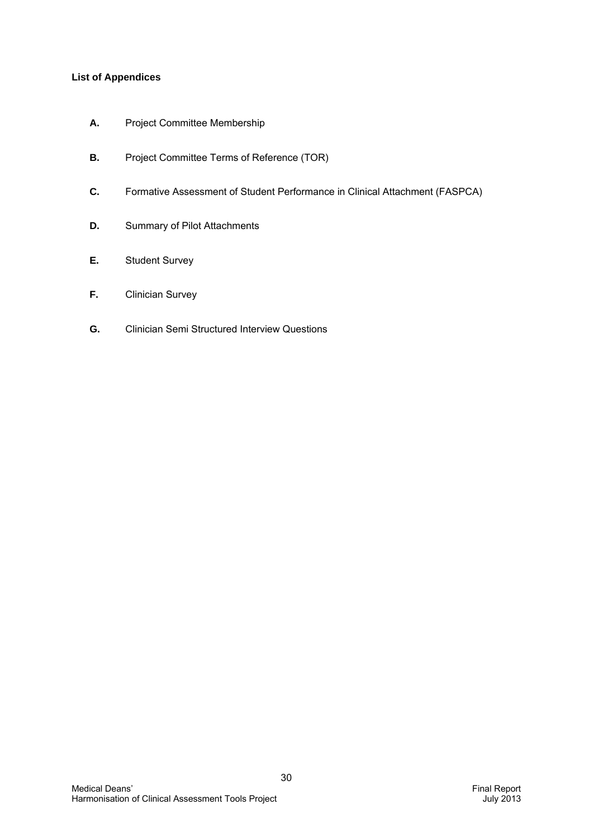# **List of Appendices**

- **A.** Project Committee Membership
- **B.** Project Committee Terms of Reference (TOR)
- **C.** Formative Assessment of Student Performance in Clinical Attachment (FASPCA)
- **D.** Summary of Pilot Attachments
- **E.** Student Survey
- **F.** Clinician Survey
- **G.** Clinician Semi Structured Interview Questions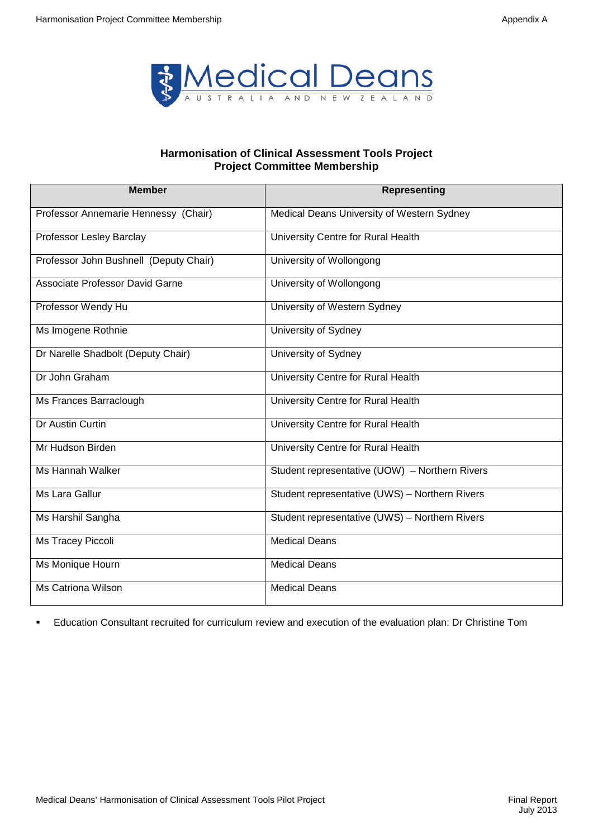

## **Harmonisation of Clinical Assessment Tools Project Project Committee Membership**

| <b>Member</b>                          | <b>Representing</b>                            |
|----------------------------------------|------------------------------------------------|
| Professor Annemarie Hennessy (Chair)   | Medical Deans University of Western Sydney     |
| Professor Lesley Barclay               | University Centre for Rural Health             |
| Professor John Bushnell (Deputy Chair) | University of Wollongong                       |
| Associate Professor David Garne        | University of Wollongong                       |
| Professor Wendy Hu                     | University of Western Sydney                   |
| Ms Imogene Rothnie                     | University of Sydney                           |
| Dr Narelle Shadbolt (Deputy Chair)     | University of Sydney                           |
| Dr John Graham                         | University Centre for Rural Health             |
| Ms Frances Barraclough                 | University Centre for Rural Health             |
| Dr Austin Curtin                       | University Centre for Rural Health             |
| Mr Hudson Birden                       | University Centre for Rural Health             |
| Ms Hannah Walker                       | Student representative (UOW) - Northern Rivers |
| Ms Lara Gallur                         | Student representative (UWS) - Northern Rivers |
| Ms Harshil Sangha                      | Student representative (UWS) - Northern Rivers |
| Ms Tracey Piccoli                      | <b>Medical Deans</b>                           |
| Ms Monique Hourn                       | <b>Medical Deans</b>                           |
| <b>Ms Catriona Wilson</b>              | <b>Medical Deans</b>                           |

Education Consultant recruited for curriculum review and execution of the evaluation plan: Dr Christine Tom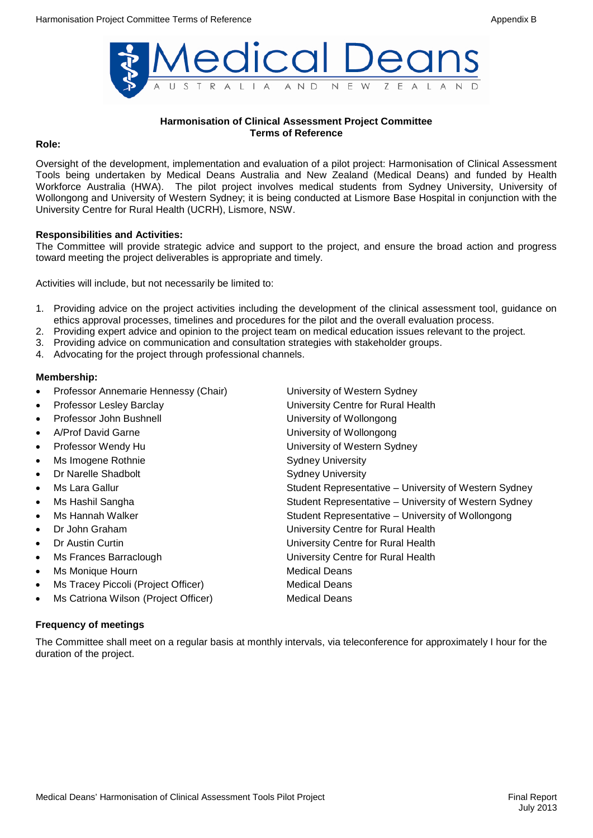

#### **Harmonisation of Clinical Assessment Project Committee Terms of Reference**

#### **Role:**

Oversight of the development, implementation and evaluation of a pilot project: Harmonisation of Clinical Assessment Tools being undertaken by Medical Deans Australia and New Zealand (Medical Deans) and funded by Health Workforce Australia (HWA). The pilot project involves medical students from Sydney University, University of Wollongong and University of Western Sydney; it is being conducted at Lismore Base Hospital in conjunction with the University Centre for Rural Health (UCRH), Lismore, NSW.

#### **Responsibilities and Activities:**

The Committee will provide strategic advice and support to the project, and ensure the broad action and progress toward meeting the project deliverables is appropriate and timely.

Activities will include, but not necessarily be limited to:

- 1. Providing advice on the project activities including the development of the clinical assessment tool, guidance on ethics approval processes, timelines and procedures for the pilot and the overall evaluation process.
- 2. Providing expert advice and opinion to the project team on medical education issues relevant to the project.
- 3. Providing advice on communication and consultation strategies with stakeholder groups.
- 4. Advocating for the project through professional channels.

#### **Membership:**

• Professor Annemarie Hennessy (Chair) University of Western Sydney • Professor Lesley Barclay University Centre for Rural Health Professor John Bushnell **Example 20** University of Wollongong • A/Prof David Garne University of Wollongong **Professor Wendy Hu Community Community Community Community Community Community Community Community Community Community Community Community Community Community Community Community Community Community Community Community Co** Ms Imogene Rothnie **Manual Accord Sydney University Dr Narelle Shadbolt** Sydney University Ms Lara Gallur **Student Representative – University of Western Sydney** Student Representative – University of Western Sydney Ms Hashil Sangha Student Representative – University of Western Sydney Ms Hannah Walker **Student Representative – University of Wollongong** Student Representative – University of Wollongong • Dr John Graham University Centre for Rural Health • Dr Austin Curtin University Centre for Rural Health • Ms Frances Barraclough University Centre for Rural Health Ms Monique Hourn **Medical Deans** Ms Tracey Piccoli (Project Officer) Medical Deans Ms Catriona Wilson (Project Officer) Medical Deans

#### **Frequency of meetings**

The Committee shall meet on a regular basis at monthly intervals, via teleconference for approximately I hour for the duration of the project.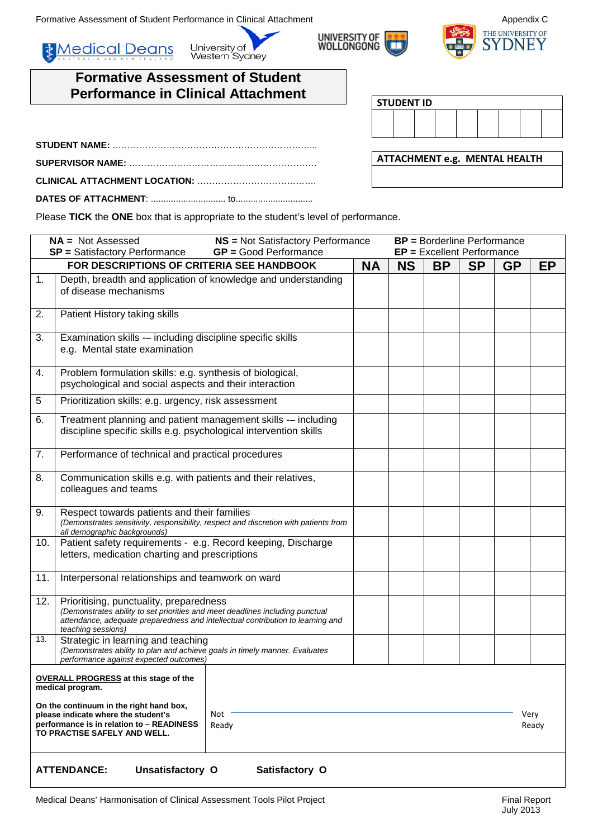Formative Assessment of Student Performance in Clinical Attachment Appendix C

**& Medical Deans** 





# **Formative Assessment of Student Performance in Clinical Attachment**

| <b>STUDENT ID</b> |  |  |  |  |
|-------------------|--|--|--|--|
|                   |  |  |  |  |
|                   |  |  |  |  |

| <b>ATTACHMENT e.g. MENTAL HEALTH</b> |  |
|--------------------------------------|--|
|                                      |  |

Please **TICK** the **ONE** box that is appropriate to the student's level of performance.

University of<br>Western Sydney

|     | $NA = Not Assessed$<br><b>NS</b> = Not Satisfactory Performance<br><b>SP</b> = Satisfactory Performance<br><b>GP</b> = Good Performance                                                                                                  |           |           | <b>BP</b> = Borderline Performance<br>EP = Excellent Performance |           |           |               |
|-----|------------------------------------------------------------------------------------------------------------------------------------------------------------------------------------------------------------------------------------------|-----------|-----------|------------------------------------------------------------------|-----------|-----------|---------------|
|     | FOR DESCRIPTIONS OF CRITERIA SEE HANDBOOK                                                                                                                                                                                                | <b>NA</b> | <b>NS</b> | <b>BP</b>                                                        | <b>SP</b> | <b>GP</b> | EP            |
| 1.  | Depth, breadth and application of knowledge and understanding<br>of disease mechanisms                                                                                                                                                   |           |           |                                                                  |           |           |               |
| 2.  | Patient History taking skills                                                                                                                                                                                                            |           |           |                                                                  |           |           |               |
| 3.  | Examination skills -- including discipline specific skills<br>e.g. Mental state examination                                                                                                                                              |           |           |                                                                  |           |           |               |
| 4.  | Problem formulation skills: e.g. synthesis of biological,<br>psychological and social aspects and their interaction                                                                                                                      |           |           |                                                                  |           |           |               |
| 5   | Prioritization skills: e.g. urgency, risk assessment                                                                                                                                                                                     |           |           |                                                                  |           |           |               |
| 6.  | Treatment planning and patient management skills -- including<br>discipline specific skills e.g. psychological intervention skills                                                                                                       |           |           |                                                                  |           |           |               |
| 7.  | Performance of technical and practical procedures                                                                                                                                                                                        |           |           |                                                                  |           |           |               |
| 8.  | Communication skills e.g. with patients and their relatives,<br>colleagues and teams                                                                                                                                                     |           |           |                                                                  |           |           |               |
| 9.  | Respect towards patients and their families<br>(Demonstrates sensitivity, responsibility, respect and discretion with patients from<br>all demographic backgrounds)                                                                      |           |           |                                                                  |           |           |               |
| 10. | Patient safety requirements - e.g. Record keeping, Discharge<br>letters, medication charting and prescriptions                                                                                                                           |           |           |                                                                  |           |           |               |
| 11. | Interpersonal relationships and teamwork on ward                                                                                                                                                                                         |           |           |                                                                  |           |           |               |
| 12. | Prioritising, punctuality, preparedness<br>(Demonstrates ability to set priorities and meet deadlines including punctual<br>attendance, adequate preparedness and intellectual contribution to learning and<br>teaching sessions)        |           |           |                                                                  |           |           |               |
| 13. | Strategic in learning and teaching<br>(Demonstrates ability to plan and achieve goals in timely manner. Evaluates<br>performance against expected outcomes)                                                                              |           |           |                                                                  |           |           |               |
|     | OVERALL PROGRESS at this stage of the<br>medical program.<br>On the continuum in the right hand box,<br>Not<br>please indicate where the student's<br>performance is in relation to - READINESS<br>Ready<br>TO PRACTISE SAFELY AND WELL. |           |           |                                                                  |           |           | Very<br>Ready |
|     | Unsatisfactory O<br>Satisfactory O<br><b>ATTENDANCE:</b>                                                                                                                                                                                 |           |           |                                                                  |           |           |               |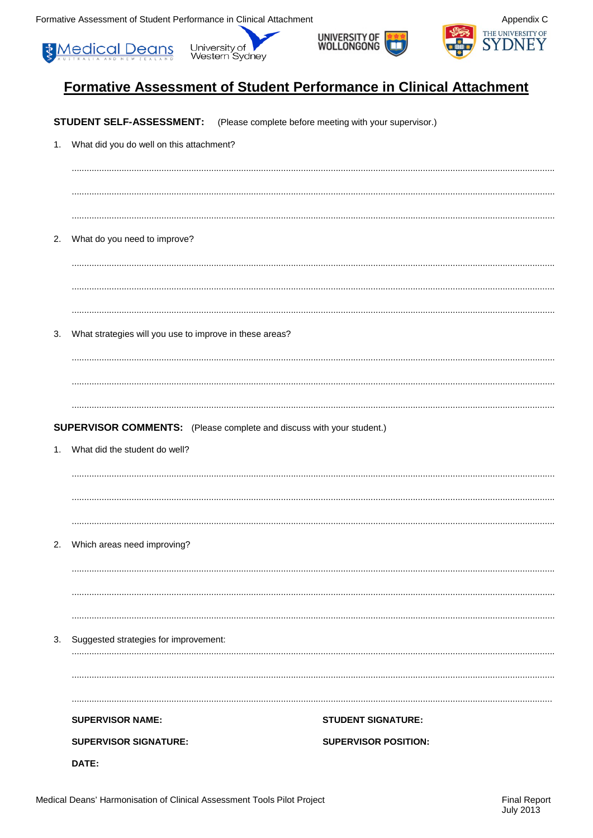Formative Assessment of Student Performance in Clinical Attachment









# Formative Assessment of Student Performance in Clinical Attachment

|    | STUDENT SELF-ASSESSMENT:                                                     | (Please complete before meeting with your supervisor.) |
|----|------------------------------------------------------------------------------|--------------------------------------------------------|
| 1. | What did you do well on this attachment?                                     |                                                        |
|    |                                                                              |                                                        |
|    |                                                                              |                                                        |
| 2. | What do you need to improve?                                                 |                                                        |
|    |                                                                              |                                                        |
|    |                                                                              |                                                        |
| 3. | What strategies will you use to improve in these areas?                      |                                                        |
|    |                                                                              |                                                        |
|    | <b>SUPERVISOR COMMENTS:</b> (Please complete and discuss with your student.) |                                                        |
| 1. | What did the student do well?                                                |                                                        |
|    |                                                                              |                                                        |
|    |                                                                              |                                                        |
|    | 2. Which areas need improving?                                               |                                                        |
|    |                                                                              |                                                        |
|    |                                                                              |                                                        |
| 3. | Suggested strategies for improvement:                                        |                                                        |
|    |                                                                              |                                                        |
|    | <b>SUPERVISOR NAME:</b>                                                      | <b>STUDENT SIGNATURE:</b>                              |
|    | <b>SUPERVISOR SIGNATURE:</b>                                                 | <b>SUPERVISOR POSITION:</b>                            |
|    | DATE:                                                                        |                                                        |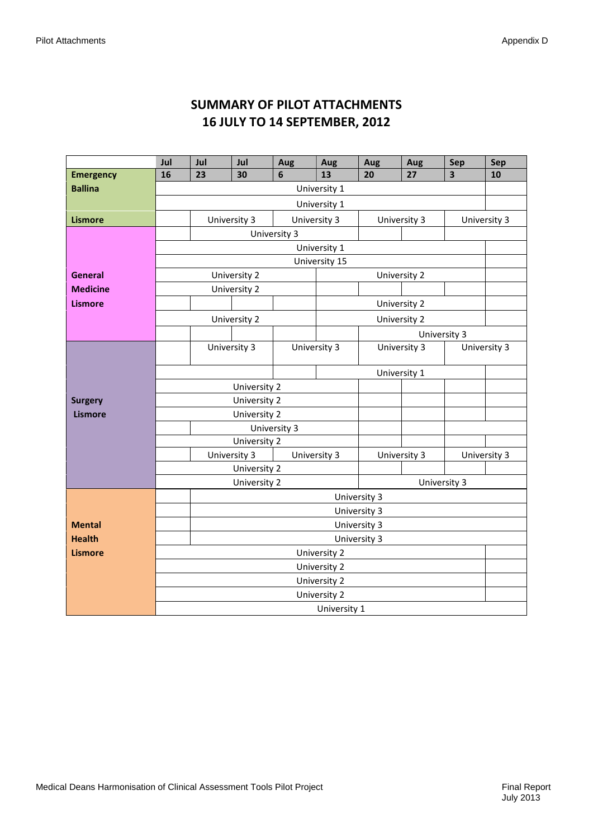# **SUMMARY OF PILOT ATTACHMENTS 16 JULY TO 14 SEPTEMBER, 2012**

|                  | Jul | Jul          | Jul          | Aug          | Aug           | Aug          | Aug          | Sep                     | <b>Sep</b>   |
|------------------|-----|--------------|--------------|--------------|---------------|--------------|--------------|-------------------------|--------------|
| <b>Emergency</b> | 16  | 23           | 30           | 6            | 13            | 20           | 27           | $\overline{\mathbf{3}}$ | 10           |
| <b>Ballina</b>   |     |              |              |              | University 1  |              |              |                         |              |
|                  |     |              |              |              | University 1  |              |              |                         |              |
| <b>Lismore</b>   |     | University 3 |              |              | University 3  | University 3 |              |                         | University 3 |
|                  |     |              |              | University 3 |               |              |              |                         |              |
|                  |     |              |              |              | University 1  |              |              |                         |              |
|                  |     |              |              |              | University 15 |              |              |                         |              |
| <b>General</b>   |     |              | University 2 |              |               | University 2 |              |                         |              |
| <b>Medicine</b>  |     |              | University 2 |              |               |              |              |                         |              |
| <b>Lismore</b>   |     |              |              |              |               | University 2 |              |                         |              |
|                  |     |              | University 2 |              |               | University 2 |              |                         |              |
|                  |     |              |              |              |               |              | University 3 |                         |              |
|                  |     | University 3 |              |              | University 3  | University 3 |              |                         | University 3 |
|                  |     |              |              |              |               | University 1 |              |                         |              |
|                  |     |              | University 2 |              |               |              |              |                         |              |
| <b>Surgery</b>   |     |              | University 2 |              |               |              |              |                         |              |
| <b>Lismore</b>   |     |              | University 2 |              |               |              |              |                         |              |
|                  |     |              |              | University 3 |               |              |              |                         |              |
|                  |     |              | University 2 |              |               |              |              |                         |              |
|                  |     | University 3 |              |              | University 3  | University 3 |              |                         | University 3 |
|                  |     |              | University 2 |              |               |              |              |                         |              |
|                  |     |              | University 2 |              |               |              | University 3 |                         |              |
|                  |     |              |              |              | University 3  |              |              |                         |              |
|                  |     |              |              |              | University 3  |              |              |                         |              |
| <b>Mental</b>    |     |              |              |              | University 3  |              |              |                         |              |
| <b>Health</b>    |     |              |              |              | University 3  |              |              |                         |              |
| <b>Lismore</b>   |     |              |              |              | University 2  |              |              |                         |              |
|                  |     |              |              |              | University 2  |              |              |                         |              |
|                  |     |              |              |              | University 2  |              |              |                         |              |
|                  |     |              |              |              | University 2  |              |              |                         |              |
|                  |     |              |              |              | University 1  |              |              |                         |              |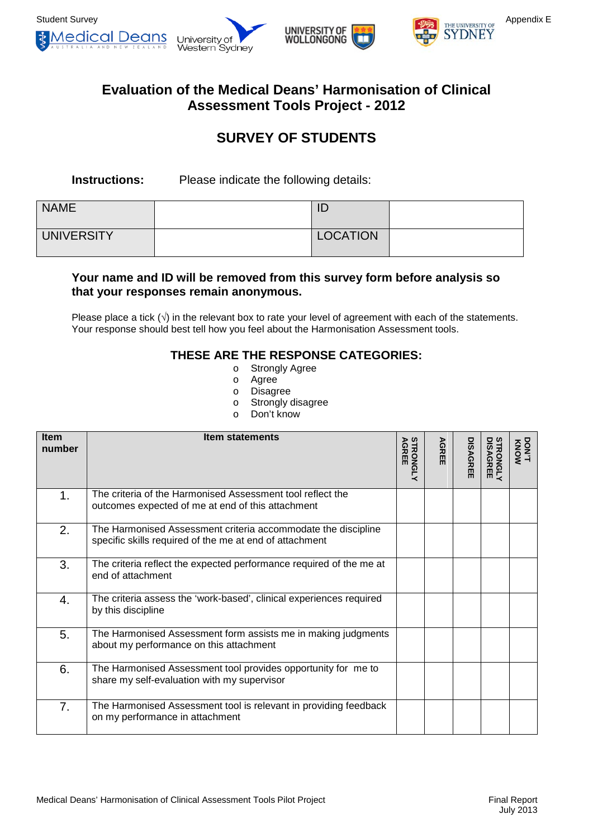



# **Evaluation of the Medical Deans' Harmonisation of Clinical Assessment Tools Project - 2012**

# **SURVEY OF STUDENTS**

**Instructions:** Please indicate the following details:

| <b>NAME</b>       | ID              |  |
|-------------------|-----------------|--|
| <b>UNIVERSITY</b> | <b>LOCATION</b> |  |

# **Your name and ID will be removed from this survey form before analysis so that your responses remain anonymous.**

Please place a tick  $(\sqrt{})$  in the relevant box to rate your level of agreement with each of the statements. Your response should best tell how you feel about the Harmonisation Assessment tools.

# **THESE ARE THE RESPONSE CATEGORIES:**

- o Strongly Agree<br>o Agree
- Agree
- o Disagree
- o Strongly disagree
- o Don't know

| <b>Item</b><br>number | <b>Item statements</b>                                                                                                   | <b>STRONGLY<br/>AGREE</b> | <b>AGREE</b> | <b>DISAGREE</b> | <b>STRONGLY<br/>DISAGREE</b> | DONT<br>TYON |
|-----------------------|--------------------------------------------------------------------------------------------------------------------------|---------------------------|--------------|-----------------|------------------------------|--------------|
| 1.                    | The criteria of the Harmonised Assessment tool reflect the<br>outcomes expected of me at end of this attachment          |                           |              |                 |                              |              |
| 2.                    | The Harmonised Assessment criteria accommodate the discipline<br>specific skills required of the me at end of attachment |                           |              |                 |                              |              |
| 3.                    | The criteria reflect the expected performance required of the me at<br>end of attachment                                 |                           |              |                 |                              |              |
| 4.                    | The criteria assess the 'work-based', clinical experiences required<br>by this discipline                                |                           |              |                 |                              |              |
| 5.                    | The Harmonised Assessment form assists me in making judgments<br>about my performance on this attachment                 |                           |              |                 |                              |              |
| 6.                    | The Harmonised Assessment tool provides opportunity for me to<br>share my self-evaluation with my supervisor             |                           |              |                 |                              |              |
| 7.                    | The Harmonised Assessment tool is relevant in providing feedback<br>on my performance in attachment                      |                           |              |                 |                              |              |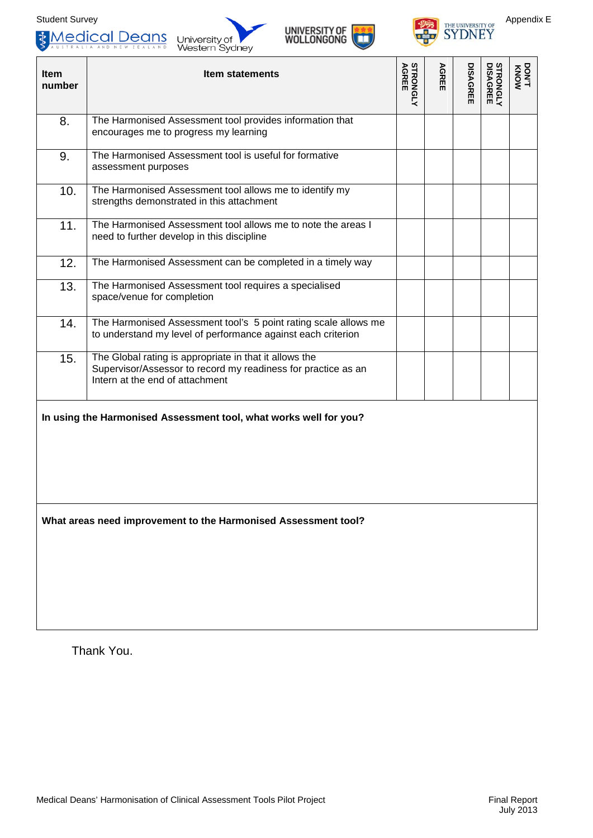







| <b>Item</b><br>number | <b>Item statements</b>                                                                                                                                     | <b>AGREE</b><br>STRONGLY | <b>AGREE</b> | <b>DISAGREE</b> | <b>STRONGLY<br/>DISAGREE</b> | <b>NONY<br/>KNOW</b> |
|-----------------------|------------------------------------------------------------------------------------------------------------------------------------------------------------|--------------------------|--------------|-----------------|------------------------------|----------------------|
| 8.                    | The Harmonised Assessment tool provides information that<br>encourages me to progress my learning                                                          |                          |              |                 |                              |                      |
| 9.                    | The Harmonised Assessment tool is useful for formative<br>assessment purposes                                                                              |                          |              |                 |                              |                      |
| 10.                   | The Harmonised Assessment tool allows me to identify my<br>strengths demonstrated in this attachment                                                       |                          |              |                 |                              |                      |
| 11.                   | The Harmonised Assessment tool allows me to note the areas I<br>need to further develop in this discipline                                                 |                          |              |                 |                              |                      |
| 12.                   | The Harmonised Assessment can be completed in a timely way                                                                                                 |                          |              |                 |                              |                      |
| 13.                   | The Harmonised Assessment tool requires a specialised<br>space/venue for completion                                                                        |                          |              |                 |                              |                      |
| 14.                   | The Harmonised Assessment tool's 5 point rating scale allows me<br>to understand my level of performance against each criterion                            |                          |              |                 |                              |                      |
| 15.                   | The Global rating is appropriate in that it allows the<br>Supervisor/Assessor to record my readiness for practice as an<br>Intern at the end of attachment |                          |              |                 |                              |                      |
|                       | In using the Harmonised Assessment tool, what works well for you?                                                                                          |                          |              |                 |                              |                      |
|                       | What areas need improvement to the Harmonised Assessment tool?                                                                                             |                          |              |                 |                              |                      |

Thank You.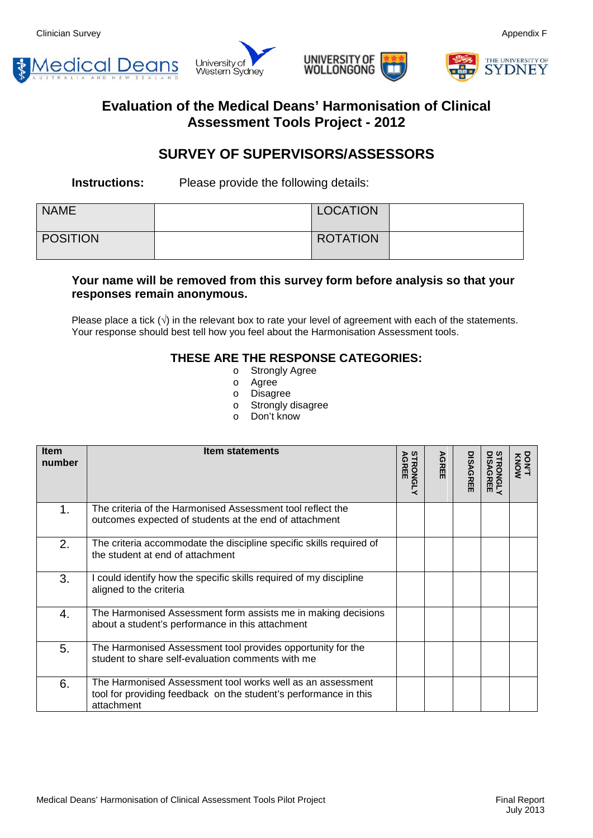







# **Evaluation of the Medical Deans' Harmonisation of Clinical Assessment Tools Project - 2012**

# **SURVEY OF SUPERVISORS/ASSESSORS**

**Instructions:** Please provide the following details:

| <b>NAME</b>     | <b>LOCATION</b> |  |
|-----------------|-----------------|--|
| <b>POSITION</b> | <b>ROTATION</b> |  |

# **Your name will be removed from this survey form before analysis so that your responses remain anonymous.**

Please place a tick  $(\sqrt{)}$  in the relevant box to rate your level of agreement with each of the statements. Your response should best tell how you feel about the Harmonisation Assessment tools.

# **THESE ARE THE RESPONSE CATEGORIES:**

- o Strongly Agree
- o Agree
- o Disagree
- o Strongly disagree
- o Don't know

| <b>Item</b><br>number | <b>Item statements</b>                                                                                                                       | <b>STRONGLY<br/>AGREE</b> | <b>AGREI</b><br>m | <b>DISAGREE</b> | <b>STRONGLY</b><br>DISAGREE | <b>NONY<br/>T'NOW</b> |
|-----------------------|----------------------------------------------------------------------------------------------------------------------------------------------|---------------------------|-------------------|-----------------|-----------------------------|-----------------------|
| 1.                    | The criteria of the Harmonised Assessment tool reflect the<br>outcomes expected of students at the end of attachment                         |                           |                   |                 |                             |                       |
| 2.                    | The criteria accommodate the discipline specific skills required of<br>the student at end of attachment                                      |                           |                   |                 |                             |                       |
| 3.                    | could identify how the specific skills required of my discipline<br>aligned to the criteria                                                  |                           |                   |                 |                             |                       |
| 4.                    | The Harmonised Assessment form assists me in making decisions<br>about a student's performance in this attachment                            |                           |                   |                 |                             |                       |
| 5.                    | The Harmonised Assessment tool provides opportunity for the<br>student to share self-evaluation comments with me                             |                           |                   |                 |                             |                       |
| 6.                    | The Harmonised Assessment tool works well as an assessment<br>tool for providing feedback on the student's performance in this<br>attachment |                           |                   |                 |                             |                       |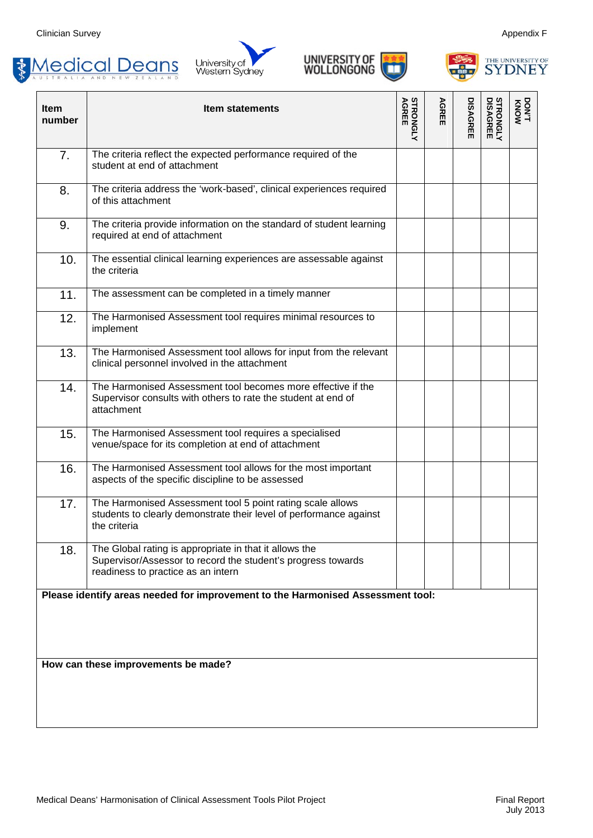







| <b>Item</b><br>number                                                           | <b>Item statements</b>                                                                                                                                       | <b>STRONGLY</b><br><b>AGREE</b> | AGREE | <b>DISAGREE</b> | <b>STRONGLY<br/>DISAGREE</b> | DON/T<br>TYON |
|---------------------------------------------------------------------------------|--------------------------------------------------------------------------------------------------------------------------------------------------------------|---------------------------------|-------|-----------------|------------------------------|---------------|
| 7.                                                                              | The criteria reflect the expected performance required of the<br>student at end of attachment                                                                |                                 |       |                 |                              |               |
| 8.                                                                              | The criteria address the 'work-based', clinical experiences required<br>of this attachment                                                                   |                                 |       |                 |                              |               |
| 9.                                                                              | The criteria provide information on the standard of student learning<br>required at end of attachment                                                        |                                 |       |                 |                              |               |
| 10.                                                                             | The essential clinical learning experiences are assessable against<br>the criteria                                                                           |                                 |       |                 |                              |               |
| 11.                                                                             | The assessment can be completed in a timely manner                                                                                                           |                                 |       |                 |                              |               |
| 12.                                                                             | The Harmonised Assessment tool requires minimal resources to<br>implement                                                                                    |                                 |       |                 |                              |               |
| 13.                                                                             | The Harmonised Assessment tool allows for input from the relevant<br>clinical personnel involved in the attachment                                           |                                 |       |                 |                              |               |
| 14.                                                                             | The Harmonised Assessment tool becomes more effective if the<br>Supervisor consults with others to rate the student at end of<br>attachment                  |                                 |       |                 |                              |               |
| 15.                                                                             | The Harmonised Assessment tool requires a specialised<br>venue/space for its completion at end of attachment                                                 |                                 |       |                 |                              |               |
| 16.                                                                             | The Harmonised Assessment tool allows for the most important<br>aspects of the specific discipline to be assessed                                            |                                 |       |                 |                              |               |
| 17.                                                                             | The Harmonised Assessment tool 5 point rating scale allows<br>students to clearly demonstrate their level of performance against<br>the criteria             |                                 |       |                 |                              |               |
| 18.                                                                             | The Global rating is appropriate in that it allows the<br>Supervisor/Assessor to record the student's progress towards<br>readiness to practice as an intern |                                 |       |                 |                              |               |
| Please identify areas needed for improvement to the Harmonised Assessment tool: |                                                                                                                                                              |                                 |       |                 |                              |               |
|                                                                                 | How can these improvements be made?                                                                                                                          |                                 |       |                 |                              |               |